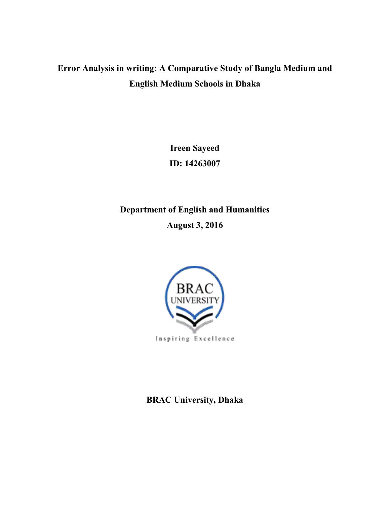# **Error Analysis in writing: A Comparative Study of Bangla Medium and English Medium Schools in Dhaka**

**Ireen Sayeed ID: 14263007** 

**Department of English and Humanities August 3, 2016** 



**BRAC University, Dhaka**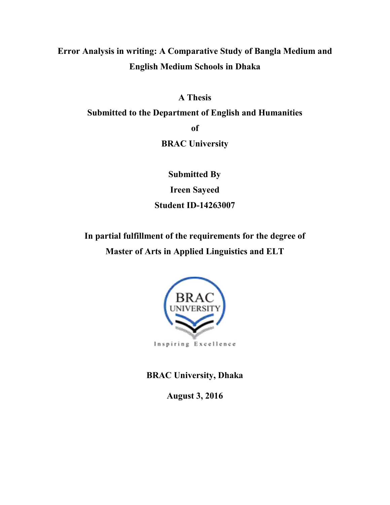**Error Analysis in writing: A Comparative Study of Bangla Medium and English Medium Schools in Dhaka** 

**A Thesis** 

**Submitted to the Department of English and Humanities** 

**of** 

**BRAC University** 

 **Submitted By Ireen Sayeed Student ID-14263007** 

**In partial fulfillment of the requirements for the degree of Master of Arts in Applied Linguistics and ELT** 



**BRAC University, Dhaka** 

**August 3, 2016**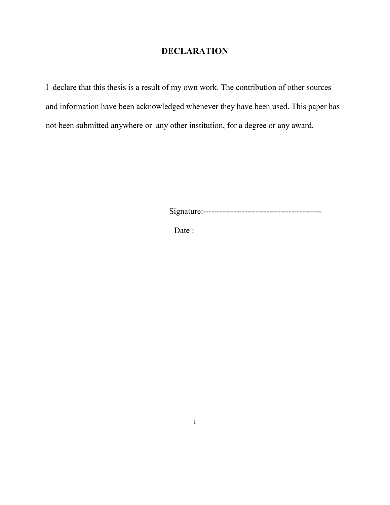# **DECLARATION**

I declare that this thesis is a result of my own work. The contribution of other sources and information have been acknowledged whenever they have been used. This paper has not been submitted anywhere or any other institution, for a degree or any award.

Signature:-------------------------------------------

Date :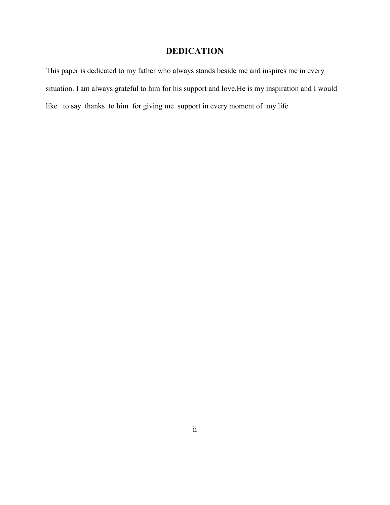# **DEDICATION**

This paper is dedicated to my father who always stands beside me and inspires me in every situation. I am always grateful to him for his support and love.He is my inspiration and I would like to say thanks to him for giving me support in every moment of my life.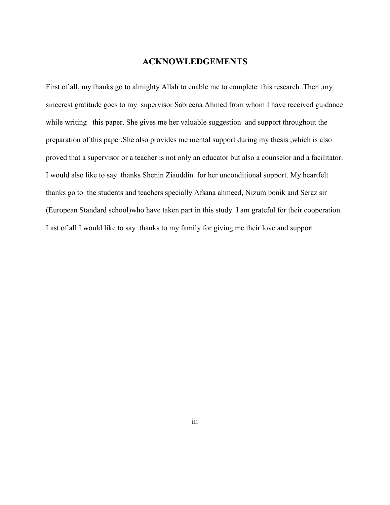## **ACKNOWLEDGEMENTS**

First of all, my thanks go to almighty Allah to enable me to complete this research .Then ,my sincerest gratitude goes to my supervisor Sabreena Ahmed from whom I have received guidance while writing this paper. She gives me her valuable suggestion and support throughout the preparation of this paper.She also provides me mental support during my thesis ,which is also proved that a supervisor or a teacher is not only an educator but also a counselor and a facilitator. I would also like to say thanks Shenin Ziauddin for her unconditional support. My heartfelt thanks go to the students and teachers specially Afsana ahmeed, Nizum bonik and Seraz sir (European Standard school)who have taken part in this study. I am grateful for their cooperation. Last of all I would like to say thanks to my family for giving me their love and support.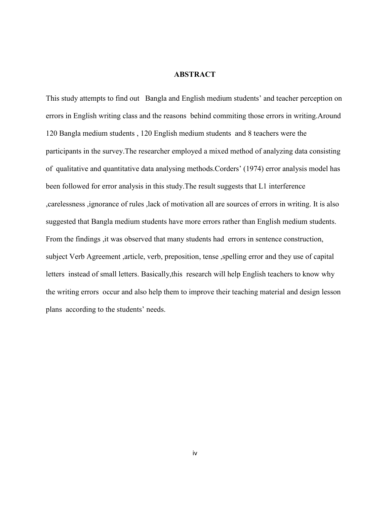#### **ABSTRACT**

This study attempts to find out Bangla and English medium students' and teacher perception on errors in English writing class and the reasons behind commiting those errors in writing.Around 120 Bangla medium students , 120 English medium students and 8 teachers were the participants in the survey.The researcher employed a mixed method of analyzing data consisting of qualitative and quantitative data analysing methods.Corders' (1974) error analysis model has been followed for error analysis in this study.The result suggests that L1 interference ,carelessness ,ignorance of rules ,lack of motivation all are sources of errors in writing. It is also suggested that Bangla medium students have more errors rather than English medium students. From the findings ,it was observed that many students had errors in sentence construction, subject Verb Agreement ,article, verb, preposition, tense ,spelling error and they use of capital letters instead of small letters. Basically,this research will help English teachers to know why the writing errors occur and also help them to improve their teaching material and design lesson plans according to the students' needs.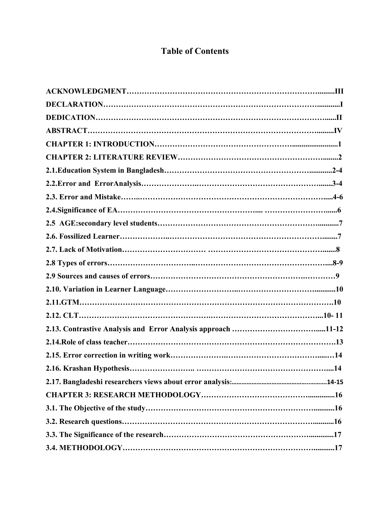# **Table of Contents**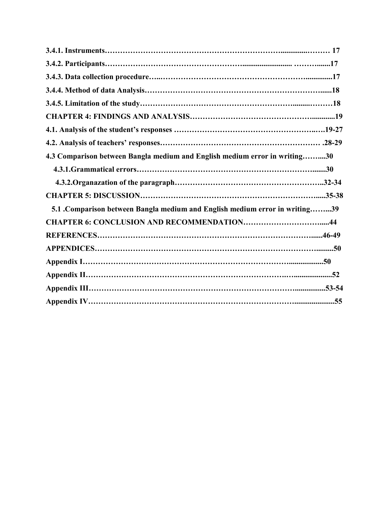| 4.3 Comparison between Bangla medium and English medium error in writing30   |  |
|------------------------------------------------------------------------------|--|
|                                                                              |  |
|                                                                              |  |
|                                                                              |  |
| 5.1 . Comparison between Bangla medium and English medium error in writing39 |  |
|                                                                              |  |
|                                                                              |  |
|                                                                              |  |
|                                                                              |  |
|                                                                              |  |
|                                                                              |  |
|                                                                              |  |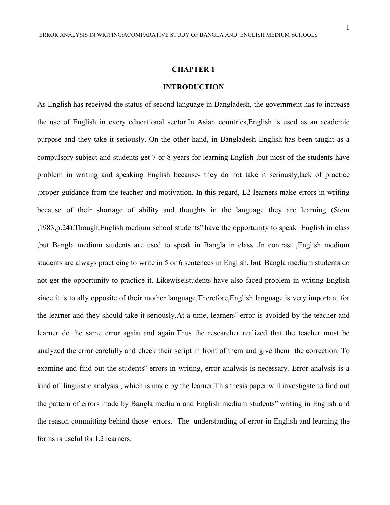#### **CHAPTER 1**

#### **INTRODUCTION**

As English has received the status of second language in Bangladesh, the government has to increase the use of English in every educational sector.In Asian countries,English is used as an academic purpose and they take it seriously. On the other hand, in Bangladesh English has been taught as a compulsory subject and students get 7 or 8 years for learning English ,but most of the students have problem in writing and speaking English because- they do not take it seriously,lack of practice ,proper guidance from the teacher and motivation. In this regard, L2 learners make errors in writing because of their shortage of ability and thoughts in the language they are learning (Stem ,1983,p.24).Though,English medium school students" have the opportunity to speak English in class ,but Bangla medium students are used to speak in Bangla in class .In contrast ,English medium students are always practicing to write in 5 or 6 sentences in English, but Bangla medium students do not get the opportunity to practice it. Likewise,students have also faced problem in writing English since it is totally opposite of their mother language.Therefore,English language is very important for the learner and they should take it seriously.At a time, learners" error is avoided by the teacher and learner do the same error again and again.Thus the researcher realized that the teacher must be analyzed the error carefully and check their script in front of them and give them the correction. To examine and find out the students" errors in writing, error analysis is necessary. Error analysis is a kind of linguistic analysis , which is made by the learner.This thesis paper will investigate to find out the pattern of errors made by Bangla medium and English medium students" writing in English and the reason committing behind those errors. The understanding of error in English and learning the forms is useful for L2 learners.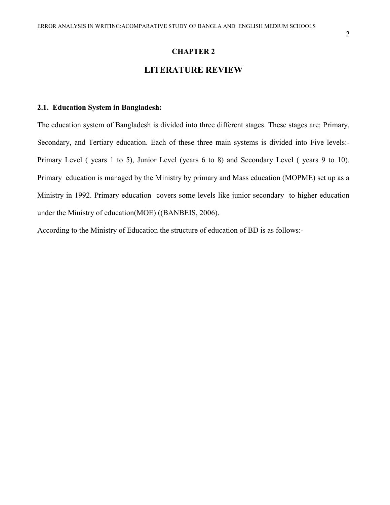#### **CHAPTER 2**

## **LITERATURE REVIEW**

## **2.1. Education System in Bangladesh:**

The education system of Bangladesh is divided into three different stages. These stages are: Primary, Secondary, and Tertiary education. Each of these three main systems is divided into Five levels:- Primary Level ( years 1 to 5), Junior Level (years 6 to 8) and Secondary Level ( years 9 to 10). Primary education is managed by the Ministry by primary and Mass education (MOPME) set up as a Ministry in 1992. Primary education covers some levels like junior secondary to higher education under the Ministry of education(MOE) ((BANBEIS, 2006).

According to the Ministry of Education the structure of education of BD is as follows:-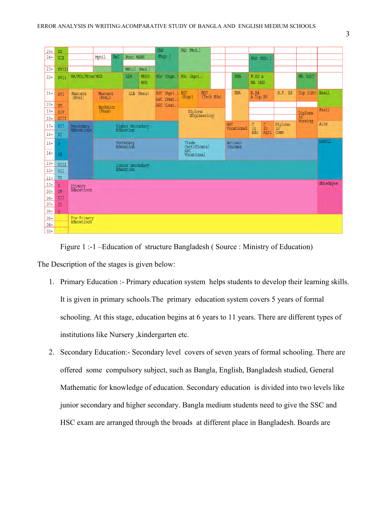| $25+$            | XX        |                           |                                                                       |     |                               |                           | PhD                        | PhD (Med.)           |               |                   |                          |                      |                |               |                   |       |
|------------------|-----------|---------------------------|-----------------------------------------------------------------------|-----|-------------------------------|---------------------------|----------------------------|----------------------|---------------|-------------------|--------------------------|----------------------|----------------|---------------|-------------------|-------|
| $24 +$           | XIX       |                           | Mphil                                                                 | PhC | Post MBBS                     |                           | (Engr.)                    |                      |               |                   |                          | PhD (Edu.)           |                |               |                   |       |
|                  |           |                           |                                                                       |     |                               |                           |                            |                      |               |                   |                          |                      |                |               |                   |       |
| $23+$            | XVIII     |                           |                                                                       |     | MPhil                         | (Med.)                    |                            |                      |               |                   |                          |                      |                |               |                   |       |
| $22+$            | XVII      | MA/MSc/Mcom/MSS           |                                                                       |     | LLM                           | <b>MBBS</b><br><b>BDS</b> | MSc (Engr.                 | MSc (Agri.)          |               |                   | <b>MBA</b>               | M.Ed &<br>MA (Ed)    |                |               | MA (LSC)          |       |
| $21+$            | XVI       | Masters<br>(Prel)         | Masters<br>(Prel)                                                     |     | LLB                           | (Hons)                    | BSC (Agri.)<br>BSC (Text.) | <b>BSC</b><br>(Enqr) |               | BSC<br>(Tech Edu) | <b>BBA</b>               | B.Ed<br>& Dip.Ed     |                | B.P. Ed       | Dip (LSc) Kamil   |       |
| $20+$            | XV        |                           | Bachelor                                                              |     |                               |                           | BSC (Leat.)                |                      |               |                   |                          |                      |                |               |                   |       |
| $19+$            | XIV       |                           | (Pass)                                                                |     |                               |                           |                            | Diploma              | (Engineering) |                   |                          |                      |                |               | Diploma           | Fazil |
| $18 +$           | XIII      |                           |                                                                       |     |                               |                           |                            |                      |               |                   |                          |                      |                |               | $in^-$<br>Nursing | Alim  |
| $17+$            | XII       | Secondary<br>Educatioon   |                                                                       |     | Higher Secondary<br>Education |                           |                            |                      |               |                   | <b>HSC</b><br>Vocational | $\frac{C}{2}$ in Edu | $\frac{C}{10}$ | Diploma<br>in |                   |       |
| $16+$            | XI        |                           |                                                                       |     |                               |                           |                            |                      |               |                   |                          |                      | Agri           | Comm          |                   |       |
| $15+$            | X.        |                           | Artisan<br>Secondary<br>Education<br>Trade<br>Certificate/<br>Courses |     |                               |                           |                            | Dakhil               |               |                   |                          |                      |                |               |                   |       |
| $14 +$           | <b>TX</b> |                           | Vocational                                                            |     |                               |                           |                            |                      |               |                   |                          |                      |                |               |                   |       |
| $13+$            | VIII      | Junior Secondary          |                                                                       |     |                               |                           |                            |                      |               |                   |                          |                      |                |               |                   |       |
| $12+$            | VII       |                           |                                                                       |     | Education                     |                           |                            |                      |               |                   |                          |                      |                |               |                   |       |
| $11+$            | VI        |                           |                                                                       |     |                               |                           |                            |                      |               |                   |                          |                      |                |               |                   |       |
| $10+$            | V         | Primary<br>Educatioon     |                                                                       |     |                               |                           |                            | Ebtedayee            |               |                   |                          |                      |                |               |                   |       |
| $09 +$           | IV        |                           |                                                                       |     |                               |                           |                            |                      |               |                   |                          |                      |                |               |                   |       |
| $08 +$<br>$07 +$ | III       |                           |                                                                       |     |                               |                           |                            |                      |               |                   |                          |                      |                |               |                   |       |
| $06+$            | II<br>T.  |                           |                                                                       |     |                               |                           |                            |                      |               |                   |                          |                      |                |               |                   |       |
| $05+$            |           |                           |                                                                       |     |                               |                           |                            |                      |               |                   |                          |                      |                |               |                   |       |
| $04 +$           |           | Pre-Primary<br>Educatioon |                                                                       |     |                               |                           |                            |                      |               |                   |                          |                      |                |               |                   |       |
| $03+$            |           |                           |                                                                       |     |                               |                           |                            |                      |               |                   |                          |                      |                |               |                   |       |

Figure 1 :-1 –Education of structure Bangladesh ( Source : Ministry of Education)

The Description of the stages is given below:

- 1. Primary Education :- Primary education system helps students to develop their learning skills. It is given in primary schools.The primary education system covers 5 years of formal schooling. At this stage, education begins at 6 years to 11 years. There are different types of institutions like Nursery ,kindergarten etc.
- 2. Secondary Education:- Secondary level covers of seven years of formal schooling. There are offered some compulsory subject, such as Bangla, English, Bangladesh studied, General Mathematic for knowledge of education. Secondary education is divided into two levels like junior secondary and higher secondary. Bangla medium students need to give the SSC and HSC exam are arranged through the broads at different place in Bangladesh. Boards are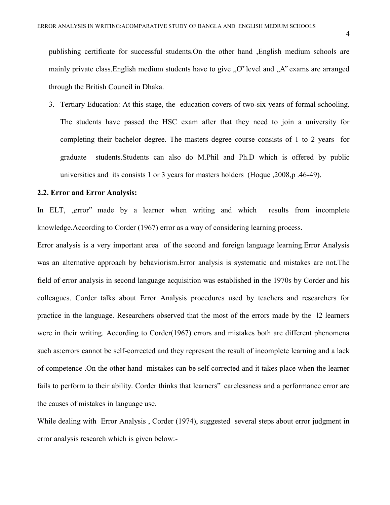4

publishing certificate for successful students.On the other hand ,English medium schools are mainly private class. English medium students have to give  $, O^{\prime}$  level and  $, A^{\prime}$  exams are arranged through the British Council in Dhaka.

3. Tertiary Education: At this stage, the education covers of two-six years of formal schooling. The students have passed the HSC exam after that they need to join a university for completing their bachelor degree. The masters degree course consists of 1 to 2 years for graduate students.Students can also do M.Phil and Ph.D which is offered by public universities and its consists 1 or 3 years for masters holders (Hoque ,2008,p .46-49).

#### **2.2. Error and Error Analysis:**

In ELT, , error<sup>\*\*</sup> made by a learner when writing and which results from incomplete knowledge.According to Corder (1967) error as a way of considering learning process.

Error analysis is a very important area of the second and foreign language learning.Error Analysis was an alternative approach by behaviorism.Error analysis is systematic and mistakes are not.The field of error analysis in second language acquisition was established in the 1970s by Corder and his colleagues. Corder talks about Error Analysis procedures used by teachers and researchers for practice in the language. Researchers observed that the most of the errors made by the l2 learners were in their writing. According to Corder(1967) errors and mistakes both are different phenomena such as:errors cannot be self-corrected and they represent the result of incomplete learning and a lack of competence .On the other hand mistakes can be self corrected and it takes place when the learner fails to perform to their ability. Corder thinks that learners" carelessness and a performance error are the causes of mistakes in language use.

While dealing with Error Analysis , Corder (1974), suggested several steps about error judgment in error analysis research which is given below:-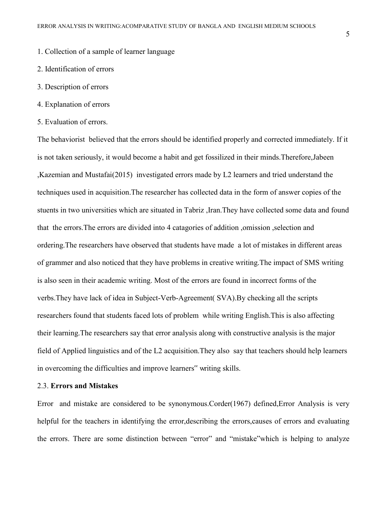- 1. Collection of a sample of learner language
- 2. Identification of errors
- 3. Description of errors
- 4. Explanation of errors
- 5. Evaluation of errors.

The behaviorist believed that the errors should be identified properly and corrected immediately. If it is not taken seriously, it would become a habit and get fossilized in their minds.Therefore,Jabeen ,Kazemian and Mustafai(2015) investigated errors made by L2 learners and tried understand the techniques used in acquisition.The researcher has collected data in the form of answer copies of the stuents in two universities which are situated in Tabriz ,Iran.They have collected some data and found that the errors.The errors are divided into 4 catagories of addition ,omission ,selection and ordering.The researchers have observed that students have made a lot of mistakes in different areas of grammer and also noticed that they have problems in creative writing.The impact of SMS writing is also seen in their academic writing. Most of the errors are found in incorrect forms of the verbs.They have lack of idea in Subject-Verb-Agreement( SVA).By checking all the scripts researchers found that students faced lots of problem while writing English.This is also affecting their learning.The researchers say that error analysis along with constructive analysis is the major field of Applied linguistics and of the L2 acquisition.They also say that teachers should help learners in overcoming the difficulties and improve learners" writing skills.

#### 2.3. **Errors and Mistakes**

Error and mistake are considered to be synonymous.Corder(1967) defined,Error Analysis is very helpful for the teachers in identifying the error,describing the errors,causes of errors and evaluating the errors. There are some distinction between "error" and "mistake"which is helping to analyze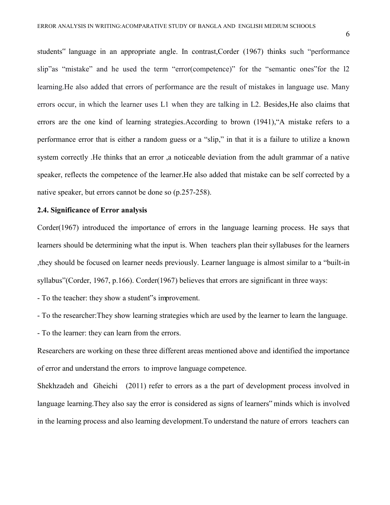students" language in an appropriate angle. In contrast,Corder (1967) thinks such "performance slip"as "mistake" and he used the term "error(competence)" for the "semantic ones"for the l2 learning.He also added that errors of performance are the result of mistakes in language use. Many errors occur, in which the learner uses L1 when they are talking in L2. Besides,He also claims that errors are the one kind of learning strategies.According to brown (1941),"A mistake refers to a performance error that is either a random guess or a "slip," in that it is a failure to utilize a known system correctly .He thinks that an error ,a noticeable deviation from the adult grammar of a native speaker, reflects the competence of the learner.He also added that mistake can be self corrected by a native speaker, but errors cannot be done so (p.257-258).

#### **2.4. Significance of Error analysis**

Corder(1967) introduced the importance of errors in the language learning process. He says that learners should be determining what the input is. When teachers plan their syllabuses for the learners ,they should be focused on learner needs previously. Learner language is almost similar to a "built-in syllabus"(Corder, 1967, p.166). Corder(1967) believes that errors are significant in three ways:

- To the teacher: they show a student"s improvement.

- To the researcher:They show learning strategies which are used by the learner to learn the language.

- To the learner: they can learn from the errors.

Researchers are working on these three different areas mentioned above and identified the importance of error and understand the errors to improve language competence.

Shekhzadeh and Gheichi (2011) refer to errors as a the part of development process involved in language learning.They also say the error is considered as signs of learners" minds which is involved in the learning process and also learning development.To understand the nature of errors teachers can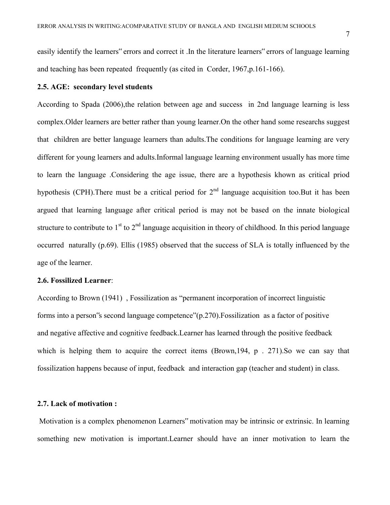easily identify the learners" errors and correct it .In the literature learners" errors of language learning and teaching has been repeated frequently (as cited in Corder, 1967,p.161-166).

#### **2.5. AGE: secondary level students**

According to Spada (2006),the relation between age and success in 2nd language learning is less complex.Older learners are better rather than young learner.On the other hand some researchs suggest that children are better language learners than adults.The conditions for language learning are very different for young learners and adults.Informal language learning environment usually has more time to learn the language .Considering the age issue, there are a hypothesis khown as critical priod hypothesis (CPH). There must be a critical period for  $2<sup>nd</sup>$  language acquisition too. But it has been argued that learning language after critical period is may not be based on the innate biological structure to contribute to  $1<sup>st</sup>$  to  $2<sup>nd</sup>$  language acquisition in theory of childhood. In this period language occurred naturally (p.69). Ellis (1985) observed that the success of SLA is totally influenced by the age of the learner.

#### **2.6. Fossilized Learner**:

According to Brown (1941) , Fossilization as "permanent incorporation of incorrect linguistic forms into a person"s second language competence"(p.270).Fossilization as a factor of positive and negative affective and cognitive feedback.Learner has learned through the positive feedback which is helping them to acquire the correct items (Brown, 194, p. 271). So we can say that fossilization happens because of input, feedback and interaction gap (teacher and student) in class.

#### **2.7. Lack of motivation :**

Motivation is a complex phenomenon Learners" motivation may be intrinsic or extrinsic. In learning something new motivation is important.Learner should have an inner motivation to learn the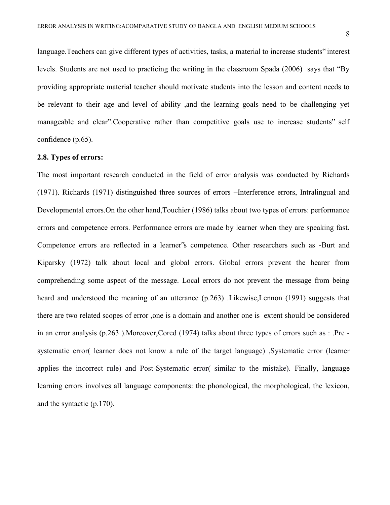language.Teachers can give different types of activities, tasks, a material to increase students" interest levels. Students are not used to practicing the writing in the classroom Spada (2006) says that "By providing appropriate material teacher should motivate students into the lesson and content needs to be relevant to their age and level of ability ,and the learning goals need to be challenging yet manageable and clear".Cooperative rather than competitive goals use to increase students" self confidence (p.65).

#### **2.8. Types of errors:**

The most important research conducted in the field of error analysis was conducted by Richards (1971). Richards (1971) distinguished three sources of errors –Interference errors, Intralingual and Developmental errors.On the other hand,Touchier (1986) talks about two types of errors: performance errors and competence errors. Performance errors are made by learner when they are speaking fast. Competence errors are reflected in a learner"s competence. Other researchers such as -Burt and Kiparsky (1972) talk about local and global errors. Global errors prevent the hearer from comprehending some aspect of the message. Local errors do not prevent the message from being heard and understood the meaning of an utterance (p.263) .Likewise,Lennon (1991) suggests that there are two related scopes of error ,one is a domain and another one is extent should be considered in an error analysis (p.263 ).Moreover,Cored (1974) talks about three types of errors such as : .Pre systematic error( learner does not know a rule of the target language) ,Systematic error (learner applies the incorrect rule) and Post-Systematic error( similar to the mistake). Finally, language learning errors involves all language components: the phonological, the morphological, the lexicon, and the syntactic (p.170).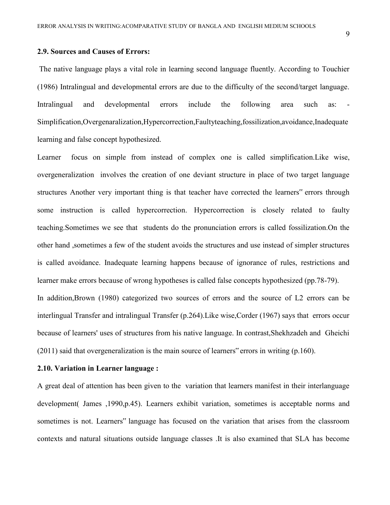#### **2.9. Sources and Causes of Errors:**

The native language plays a vital role in learning second language fluently. According to Touchier (1986) Intralingual and developmental errors are due to the difficulty of the second/target language. Intralingual and developmental errors include the following area such as: Simplification,Overgenaralization,Hypercorrection,Faultyteaching,fossilization,avoidance,Inadequate learning and false concept hypothesized.

Learner focus on simple from instead of complex one is called simplification.Like wise, overgeneralization involves the creation of one deviant structure in place of two target language structures Another very important thing is that teacher have corrected the learners" errors through some instruction is called hypercorrection. Hypercorrection is closely related to faulty teaching.Sometimes we see that students do the pronunciation errors is called fossilization.On the other hand ,sometimes a few of the student avoids the structures and use instead of simpler structures is called avoidance. Inadequate learning happens because of ignorance of rules, restrictions and learner make errors because of wrong hypotheses is called false concepts hypothesized (pp.78-79). In addition,Brown (1980) categorized two sources of errors and the source of L2 errors can be interlingual Transfer and intralingual Transfer (p.264).Like wise,Corder (1967) says that errors occur

because of learners' uses of structures from his native language. In contrast,Shekhzadeh and Gheichi (2011) said that overgeneralization is the main source of learners" errors in writing (p.160).

#### **2.10. Variation in Learner language :**

A great deal of attention has been given to the variation that learners manifest in their interlanguage development( James ,1990,p.45). Learners exhibit variation, sometimes is acceptable norms and sometimes is not. Learners" language has focused on the variation that arises from the classroom contexts and natural situations outside language classes .It is also examined that SLA has become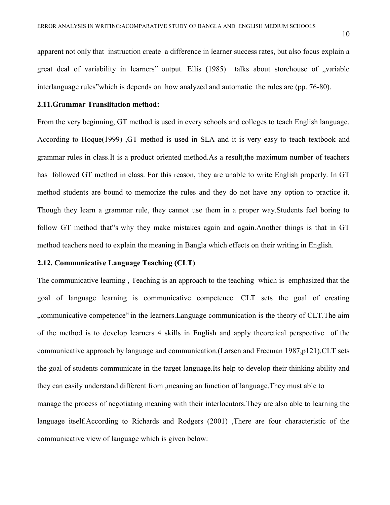apparent not only that instruction create a difference in learner success rates, but also focus explain a great deal of variability in learners" output. Ellis (1985) talks about storehouse of "variable interlanguage rules"which is depends on how analyzed and automatic the rules are (pp. 76-80).

#### **2.11.Grammar Translitation method:**

From the very beginning, GT method is used in every schools and colleges to teach English language. According to Hoque(1999) ,GT method is used in SLA and it is very easy to teach textbook and grammar rules in class.It is a product oriented method.As a result,the maximum number of teachers has followed GT method in class. For this reason, they are unable to write English properly. In GT method students are bound to memorize the rules and they do not have any option to practice it. Though they learn a grammar rule, they cannot use them in a proper way.Students feel boring to follow GT method that"s why they make mistakes again and again.Another things is that in GT method teachers need to explain the meaning in Bangla which effects on their writing in English.

## **2.12. Communicative Language Teaching (CLT)**

The communicative learning , Teaching is an approach to the teaching which is emphasized that the goal of language learning is communicative competence. CLT sets the goal of creating , communicative competence" in the learners. Language communication is the theory of CLT. The aim of the method is to develop learners 4 skills in English and apply theoretical perspective of the communicative approach by language and communication.(Larsen and Freeman 1987,p121).CLT sets the goal of students communicate in the target language.Its help to develop their thinking ability and they can easily understand different from ,meaning an function of language.They must able to manage the process of negotiating meaning with their interlocutors.They are also able to learning the language itself.According to Richards and Rodgers (2001) ,There are four characteristic of the communicative view of language which is given below: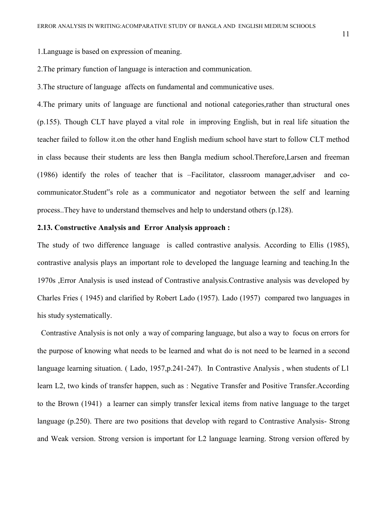1.Language is based on expression of meaning.

2.The primary function of language is interaction and communication.

3.The structure of language affects on fundamental and communicative uses.

4.The primary units of language are functional and notional categories,rather than structural ones (p.155). Though CLT have played a vital role in improving English, but in real life situation the teacher failed to follow it.on the other hand English medium school have start to follow CLT method in class because their students are less then Bangla medium school.Therefore,Larsen and freeman (1986) identify the roles of teacher that is –Facilitator, classroom manager,adviser and cocommunicator.Student"s role as a communicator and negotiator between the self and learning process..They have to understand themselves and help to understand others (p.128).

#### **2.13. Constructive Analysis and Error Analysis approach :**

The study of two difference language is called contrastive analysis. According to Ellis (1985), contrastive analysis plays an important role to developed the language learning and teaching.In the 1970s ,Error Analysis is used instead of Contrastive analysis.Contrastive analysis was developed by Charles Fries ( 1945) and clarified by Robert Lado (1957). Lado (1957) compared two languages in his study systematically.

 Contrastive Analysis is not only a way of comparing language, but also a way to focus on errors for the purpose of knowing what needs to be learned and what do is not need to be learned in a second language learning situation. (Lado, 1957,p.241-247). In Contrastive Analysis, when students of L1 learn L2, two kinds of transfer happen, such as : Negative Transfer and Positive Transfer.According to the Brown (1941) a learner can simply transfer lexical items from native language to the target language (p.250). There are two positions that develop with regard to Contrastive Analysis- Strong and Weak version. Strong version is important for L2 language learning. Strong version offered by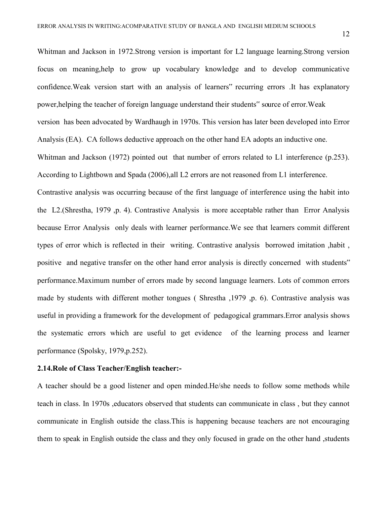Whitman and Jackson in 1972.Strong version is important for L2 language learning.Strong version focus on meaning,help to grow up vocabulary knowledge and to develop communicative confidence.Weak version start with an analysis of learners" recurring errors .It has explanatory power,helping the teacher of foreign language understand their students" source of error.Weak version has been advocated by Wardhaugh in 1970s. This version has later been developed into Error Analysis (EA). CA follows deductive approach on the other hand EA adopts an inductive one. Whitman and Jackson (1972) pointed out that number of errors related to L1 interference (p.253). According to Lightbown and Spada (2006),all L2 errors are not reasoned from L1 interference. Contrastive analysis was occurring because of the first language of interference using the habit into the L2.(Shrestha, 1979 ,p. 4). Contrastive Analysis is more acceptable rather than Error Analysis because Error Analysis only deals with learner performance.We see that learners commit different types of error which is reflected in their writing. Contrastive analysis borrowed imitation ,habit , positive and negative transfer on the other hand error analysis is directly concerned with students" performance.Maximum number of errors made by second language learners. Lots of common errors made by students with different mother tongues ( Shrestha ,1979 ,p. 6). Contrastive analysis was useful in providing a framework for the development of pedagogical grammars.Error analysis shows the systematic errors which are useful to get evidence of the learning process and learner

performance (Spolsky, 1979,p.252).

#### **2.14.Role of Class Teacher/English teacher:-**

A teacher should be a good listener and open minded.He/she needs to follow some methods while teach in class. In 1970s ,educators observed that students can communicate in class , but they cannot communicate in English outside the class.This is happening because teachers are not encouraging them to speak in English outside the class and they only focused in grade on the other hand ,students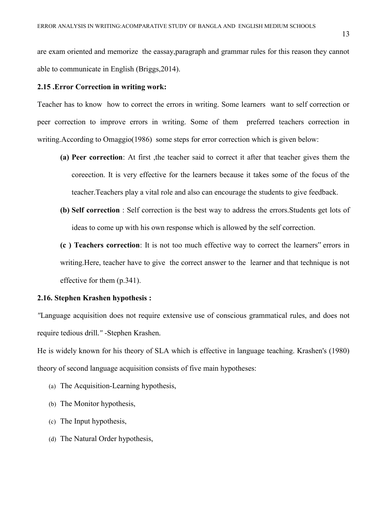are exam oriented and memorize the eassay,paragraph and grammar rules for this reason they cannot able to communicate in English (Briggs,2014).

#### **2.15 .Error Correction in writing work:**

Teacher has to know how to correct the errors in writing. Some learners want to self correction or peer correction to improve errors in writing. Some of them preferred teachers correction in writing.According to Omaggio(1986) some steps for error correction which is given below:

- **(a) Peer correction**: At first ,the teacher said to correct it after that teacher gives them the coreection. It is very effective for the learners because it takes some of the focus of the teacher.Teachers play a vital role and also can encourage the students to give feedback.
- **(b) Self correction** : Self correction is the best way to address the errors.Students get lots of ideas to come up with his own response which is allowed by the self correction.
- **(c ) Teachers correction**: It is not too much effective way to correct the learners" errors in writing.Here, teacher have to give the correct answer to the learner and that technique is not effective for them (p.341).

#### **2.16. Stephen Krashen hypothesis :**

*"*Language acquisition does not require extensive use of conscious grammatical rules, and does not require tedious drill*." -*Stephen Krashen*.* 

He is widely known for his theory of SLA which is effective in language teaching. Krashen's (1980) theory of second language acquisition consists of five main hypotheses:

- (a) The Acquisition-Learning hypothesis,
- (b) The Monitor hypothesis,
- (c) The Input hypothesis,
- (d) The Natural Order hypothesis,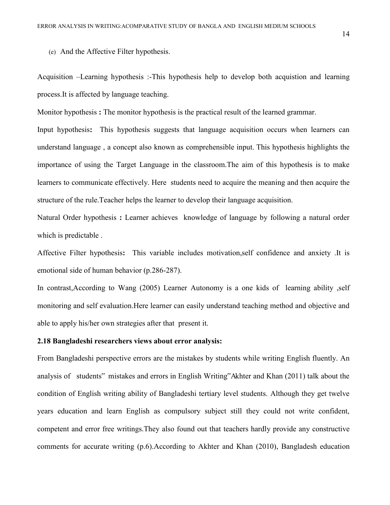(e) And the Affective Filter hypothesis.

Acquisition –Learning hypothesis :-This hypothesis help to develop both acquistion and learning process.It is affected by language teaching.

Monitor hypothesis **:** The monitor hypothesis is the practical result of the learned grammar.

Input hypothesis**:** This hypothesis suggests that language acquisition occurs when learners can understand language , a concept also known as comprehensible input. This hypothesis highlights the importance of using the Target Language in the classroom.The aim of this hypothesis is to make learners to communicate effectively. Here students need to acquire the meaning and then acquire the structure of the rule.Teacher helps the learner to develop their language acquisition.

Natural Order hypothesis **:** Learner achieves knowledge of language by following a natural order which is predictable .

Affective Filter hypothesis**:** This variable includes motivation,self confidence and anxiety .It is emotional side of human behavior (p.286-287).

In contrast,According to Wang (2005) Learner Autonomy is a one kids of learning ability ,self monitoring and self evaluation.Here learner can easily understand teaching method and objective and able to apply his/her own strategies after that present it.

#### **2.18 Bangladeshi researchers views about error analysis:**

From Bangladeshi perspective errors are the mistakes by students while writing English fluently. An analysis of students" mistakes and errors in English Writing"Akhter and Khan (2011) talk about the condition of English writing ability of Bangladeshi tertiary level students. Although they get twelve years education and learn English as compulsory subject still they could not write confident, competent and error free writings.They also found out that teachers hardly provide any constructive comments for accurate writing (p.6).According to Akhter and Khan (2010), Bangladesh education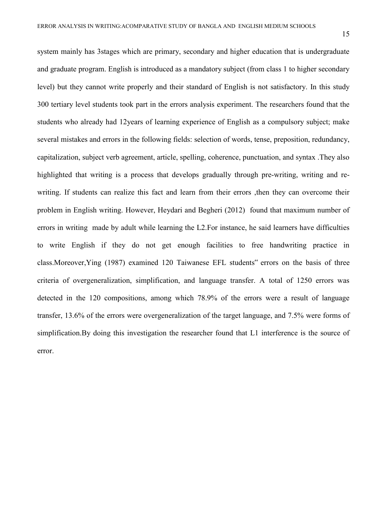system mainly has 3stages which are primary, secondary and higher education that is undergraduate and graduate program. English is introduced as a mandatory subject (from class 1 to higher secondary level) but they cannot write properly and their standard of English is not satisfactory. In this study 300 tertiary level students took part in the errors analysis experiment. The researchers found that the students who already had 12years of learning experience of English as a compulsory subject; make several mistakes and errors in the following fields: selection of words, tense, preposition, redundancy, capitalization, subject verb agreement, article, spelling, coherence, punctuation, and syntax .They also highlighted that writing is a process that develops gradually through pre-writing, writing and rewriting. If students can realize this fact and learn from their errors ,then they can overcome their problem in English writing. However, Heydari and Begheri (2012) found that maximum number of errors in writing made by adult while learning the L2.For instance, he said learners have difficulties to write English if they do not get enough facilities to free handwriting practice in class.Moreover,Ying (1987) examined 120 Taiwanese EFL students" errors on the basis of three criteria of overgeneralization, simplification, and language transfer. A total of 1250 errors was detected in the 120 compositions, among which 78.9% of the errors were a result of language transfer, 13.6% of the errors were overgeneralization of the target language, and 7.5% were forms of simplification.By doing this investigation the researcher found that L1 interference is the source of error.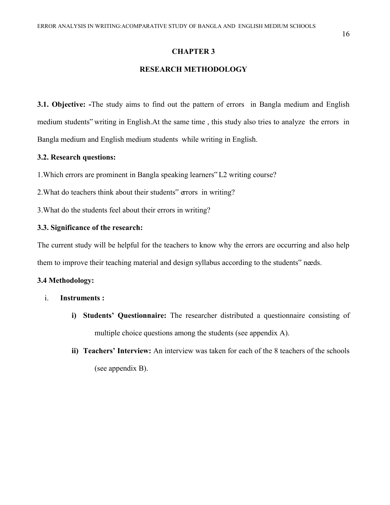#### **CHAPTER 3**

#### **RESEARCH METHODOLOGY**

**3.1. Objective: -**The study aims to find out the pattern of errors in Bangla medium and English medium students" writing in English.At the same time , this study also tries to analyze the errors in Bangla medium and English medium students while writing in English.

#### **3.2. Research questions:**

- 1.Which errors are prominent in Bangla speaking learners" L2 writing course?
- 2.What do teachers think about their students" errors in writing?

3.What do the students feel about their errors in writing?

#### **3.3. Significance of the research:**

The current study will be helpful for the teachers to know why the errors are occurring and also help them to improve their teaching material and design syllabus according to the students" needs.

#### **3.4 Methodology:**

- i. **Instruments :**
	- **i) Students' Questionnaire:** The researcher distributed a questionnaire consisting of multiple choice questions among the students (see appendix A).
	- **ii) Teachers' Interview:** An interview was taken for each of the 8 teachers of the schools (see appendix B).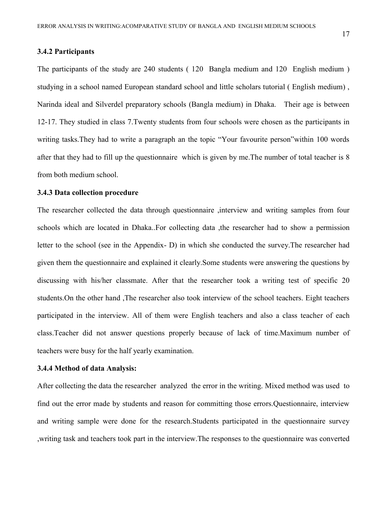#### **3.4.2 Participants**

The participants of the study are 240 students ( 120 Bangla medium and 120 English medium ) studying in a school named European standard school and little scholars tutorial ( English medium) , Narinda ideal and Silverdel preparatory schools (Bangla medium) in Dhaka. Their age is between 12-17. They studied in class 7.Twenty students from four schools were chosen as the participants in writing tasks.They had to write a paragraph an the topic "Your favourite person"within 100 words after that they had to fill up the questionnaire which is given by me.The number of total teacher is 8 from both medium school.

#### **3.4.3 Data collection procedure**

The researcher collected the data through questionnaire ,interview and writing samples from four schools which are located in Dhaka..For collecting data ,the researcher had to show a permission letter to the school (see in the Appendix- D) in which she conducted the survey.The researcher had given them the questionnaire and explained it clearly.Some students were answering the questions by discussing with his/her classmate. After that the researcher took a writing test of specific 20 students.On the other hand ,The researcher also took interview of the school teachers. Eight teachers participated in the interview. All of them were English teachers and also a class teacher of each class.Teacher did not answer questions properly because of lack of time.Maximum number of teachers were busy for the half yearly examination.

#### **3.4.4 Method of data Analysis:**

After collecting the data the researcher analyzed the error in the writing. Mixed method was used to find out the error made by students and reason for committing those errors.Questionnaire, interview and writing sample were done for the research.Students participated in the questionnaire survey ,writing task and teachers took part in the interview.The responses to the questionnaire was converted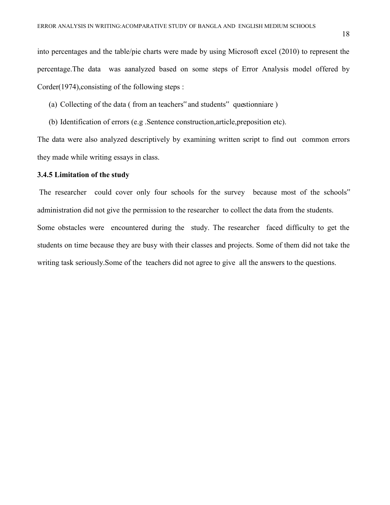into percentages and the table/pie charts were made by using Microsoft excel (2010) to represent the percentage.The data was aanalyzed based on some steps of Error Analysis model offered by Corder(1974),consisting of the following steps :

(a) Collecting of the data ( from an teachers" and students" questionniare )

(b) Identification of errors (e.g .Sentence construction,article,preposition etc).

The data were also analyzed descriptively by examining written script to find out common errors they made while writing essays in class.

#### **3.4.5 Limitation of the study**

The researcher could cover only four schools for the survey because most of the schools" administration did not give the permission to the researcher to collect the data from the students. Some obstacles were encountered during the study. The researcher faced difficulty to get the students on time because they are busy with their classes and projects. Some of them did not take the writing task seriously.Some of the teachers did not agree to give all the answers to the questions.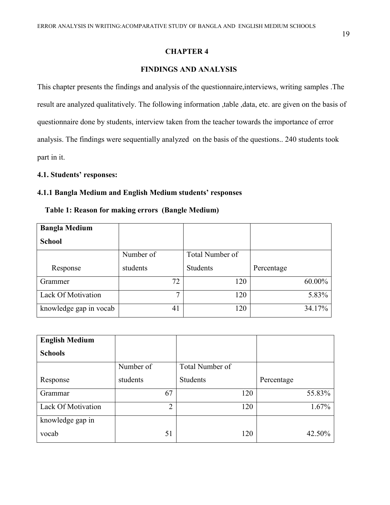#### **CHAPTER 4**

#### **FINDINGS AND ANALYSIS**

This chapter presents the findings and analysis of the questionnaire,interviews, writing samples .The result are analyzed qualitatively. The following information ,table ,data, etc. are given on the basis of questionnaire done by students, interview taken from the teacher towards the importance of error analysis. The findings were sequentially analyzed on the basis of the questions.. 240 students took part in it.

#### **4.1. Students' responses:**

## **4.1.1 Bangla Medium and English Medium students' responses**

#### **Table 1: Reason for making errors (Bangle Medium)**

| <b>Bangla Medium</b>   |           |                 |            |
|------------------------|-----------|-----------------|------------|
| <b>School</b>          |           |                 |            |
|                        | Number of | Total Number of |            |
| Response               | students  | Students        | Percentage |
| Grammer                | 72        | 120             | 60.00%     |
| Lack Of Motivation     | 7         | 120             | 5.83%      |
| knowledge gap in vocab | 41        | 120             | 34.17%     |

| <b>English Medium</b> |                |                 |            |
|-----------------------|----------------|-----------------|------------|
| <b>Schools</b>        |                |                 |            |
|                       | Number of      | Total Number of |            |
| Response              | students       | Students        | Percentage |
| Grammar               | 67             | 120             | 55.83%     |
| Lack Of Motivation    | $\overline{2}$ | 120             | 1.67%      |
| knowledge gap in      |                |                 |            |
| vocab                 | 51             | 120             | 42.50%     |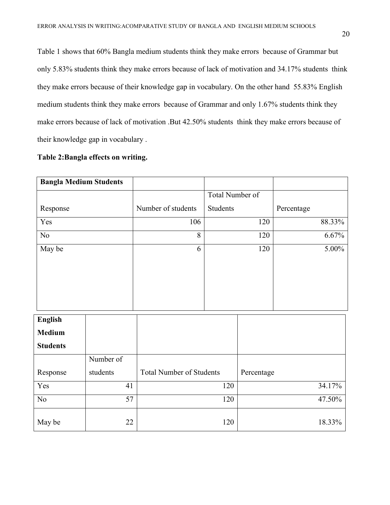Table 1 shows that 60% Bangla medium students think they make errors because of Grammar but only 5.83% students think they make errors because of lack of motivation and 34.17% students think they make errors because of their knowledge gap in vocabulary. On the other hand 55.83% English medium students think they make errors because of Grammar and only 1.67% students think they make errors because of lack of motivation .But 42.50% students think they make errors because of their knowledge gap in vocabulary .

#### **Table 2:Bangla effects on writing.**

| <b>Bangla Medium Students</b> |           |                                 |                 |            |            |
|-------------------------------|-----------|---------------------------------|-----------------|------------|------------|
|                               |           |                                 | Total Number of |            |            |
| Response                      |           | Number of students              | Students        |            | Percentage |
| Yes                           |           | 106                             |                 | 120        | 88.33%     |
| No                            |           | 8                               |                 | 120        | 6.67%      |
| May be                        |           | 6                               |                 | 120        | 5.00%      |
|                               |           |                                 |                 |            |            |
|                               |           |                                 |                 |            |            |
|                               |           |                                 |                 |            |            |
|                               |           |                                 |                 |            |            |
| <b>English</b>                |           |                                 |                 |            |            |
| <b>Medium</b>                 |           |                                 |                 |            |            |
| <b>Students</b>               |           |                                 |                 |            |            |
|                               | Number of |                                 |                 |            |            |
| Response                      | students  | <b>Total Number of Students</b> |                 | Percentage |            |
| Yes                           | 41        |                                 | 120             |            | 34.17%     |
| N <sub>o</sub>                | 57        |                                 | 120             |            | 47.50%     |
| May be                        | 22        |                                 | 120             |            | 18.33%     |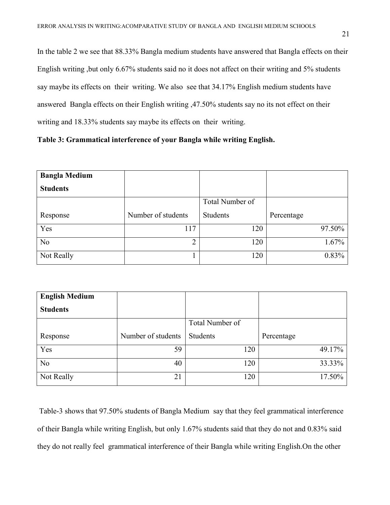In the table 2 we see that 88.33% Bangla medium students have answered that Bangla effects on their English writing ,but only 6.67% students said no it does not affect on their writing and 5% students say maybe its effects on their writing. We also see that 34.17% English medium students have answered Bangla effects on their English writing ,47.50% students say no its not effect on their writing and 18.33% students say maybe its effects on their writing.

## **Table 3: Grammatical interference of your Bangla while writing English.**

| <b>Bangla Medium</b> |                    |                 |            |
|----------------------|--------------------|-----------------|------------|
| <b>Students</b>      |                    |                 |            |
|                      |                    | Total Number of |            |
| Response             | Number of students | Students        | Percentage |
| Yes                  | 117                | 120             | 97.50%     |
| No                   | 2                  | 120             | 1.67%      |
| Not Really           |                    | 120             | 0.83%      |

| <b>English Medium</b> |                    |                 |            |
|-----------------------|--------------------|-----------------|------------|
| <b>Students</b>       |                    |                 |            |
|                       |                    | Total Number of |            |
| Response              | Number of students | Students        | Percentage |
| Yes                   | 59                 | 120             | 49.17%     |
| N <sub>o</sub>        | 40                 | 120             | 33.33%     |
| Not Really            | 21                 | 120             | 17.50%     |

Table-3 shows that 97.50% students of Bangla Medium say that they feel grammatical interference of their Bangla while writing English, but only 1.67% students said that they do not and 0.83% said they do not really feel grammatical interference of their Bangla while writing English.On the other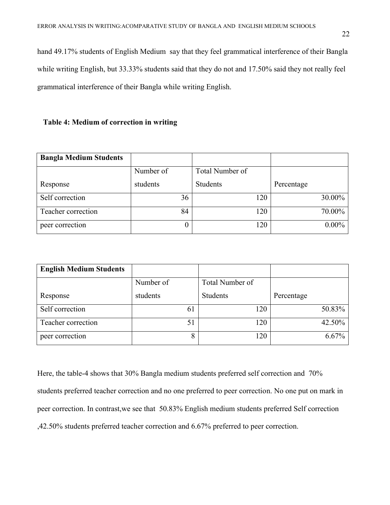hand 49.17% students of English Medium say that they feel grammatical interference of their Bangla while writing English, but 33.33% students said that they do not and 17.50% said they not really feel grammatical interference of their Bangla while writing English.

#### **Table 4: Medium of correction in writing**

| <b>Bangla Medium Students</b> |           |                 |            |
|-------------------------------|-----------|-----------------|------------|
|                               | Number of | Total Number of |            |
| Response                      | students  | Students        | Percentage |
| Self correction               | 36        | 120             | 30.00%     |
| Teacher correction            | 84        | 120             | 70.00%     |
| peer correction               | 0         | 120             | $0.00\%$   |

| <b>English Medium Students</b> |           |                 |            |
|--------------------------------|-----------|-----------------|------------|
|                                | Number of | Total Number of |            |
| Response                       | students  | Students        | Percentage |
| Self correction                | 61        | 120             | 50.83%     |
| Teacher correction             | 5         | 120             | 42.50%     |
| peer correction                | o         | 120             | $6.67\%$   |

Here, the table-4 shows that 30% Bangla medium students preferred self correction and 70% students preferred teacher correction and no one preferred to peer correction. No one put on mark in peer correction. In contrast,we see that 50.83% English medium students preferred Self correction ,42.50% students preferred teacher correction and 6.67% preferred to peer correction.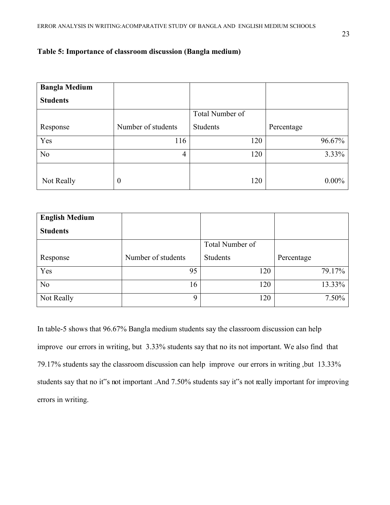## **Table 5: Importance of classroom discussion (Bangla medium)**

| <b>Bangla Medium</b> |                    |                 |            |
|----------------------|--------------------|-----------------|------------|
| <b>Students</b>      |                    |                 |            |
|                      |                    | Total Number of |            |
| Response             | Number of students | Students        | Percentage |
| Yes                  | 116                | 120             | 96.67%     |
| N <sub>o</sub>       | 4                  | 120             | 3.33%      |
| Not Really           | $\bf{0}$           | 120             | $0.00\%$   |

| <b>English Medium</b> |                    |                 |            |
|-----------------------|--------------------|-----------------|------------|
| <b>Students</b>       |                    |                 |            |
|                       |                    | Total Number of |            |
| Response              | Number of students | Students        | Percentage |
| Yes                   | 95                 | 120             | 79.17%     |
| N <sub>o</sub>        | 16                 | 120             | 13.33%     |
| Not Really            | 9                  | 120             | 7.50%      |

In table-5 shows that 96.67% Bangla medium students say the classroom discussion can help improve our errors in writing, but 3.33% students say that no its not important. We also find that 79.17% students say the classroom discussion can help improve our errors in writing ,but 13.33% students say that no it"s not important .And 7.50% students say it"s not really important for improving errors in writing.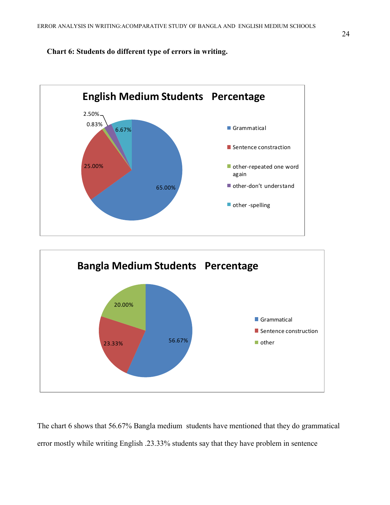**Chart 6: Students do different type of errors in writing.** 





The chart 6 shows that 56.67% Bangla medium students have mentioned that they do grammatical error mostly while writing English .23.33% students say that they have problem in sentence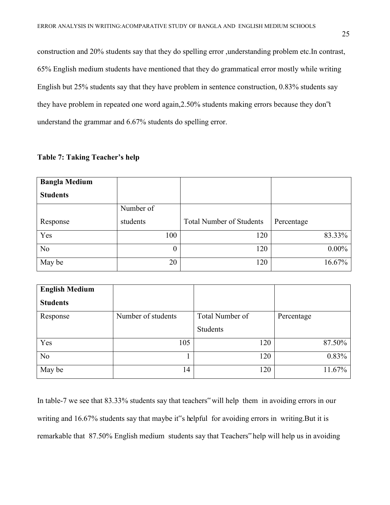construction and 20% students say that they do spelling error ,understanding problem etc.In contrast, 65% English medium students have mentioned that they do grammatical error mostly while writing English but 25% students say that they have problem in sentence construction, 0.83% students say they have problem in repeated one word again,2.50% students making errors because they don"t understand the grammar and 6.67% students do spelling error.

| <b>Table 7: Taking Teacher's help</b> |  |  |
|---------------------------------------|--|--|
|---------------------------------------|--|--|

| <b>Bangla Medium</b> |           |                                 |            |
|----------------------|-----------|---------------------------------|------------|
| <b>Students</b>      |           |                                 |            |
|                      | Number of |                                 |            |
| Response             | students  | <b>Total Number of Students</b> | Percentage |
| Yes                  | 100       | 120                             | 83.33%     |
| N <sub>o</sub>       | $\theta$  | 120                             | $0.00\%$   |
| May be               | 20        | 120                             | 16.67%     |

| <b>English Medium</b> |                    |                 |            |
|-----------------------|--------------------|-----------------|------------|
| <b>Students</b>       |                    |                 |            |
| Response              | Number of students | Total Number of | Percentage |
|                       |                    | Students        |            |
| Yes                   | 105                | 120             | 87.50%     |
| N <sub>o</sub>        |                    | 120             | 0.83%      |
| May be                | 14                 | 120             | 11.67%     |

In table-7 we see that 83.33% students say that teachers" will help them in avoiding errors in our writing and 16.67% students say that maybe it"s helpful for avoiding errors in writing.But it is remarkable that 87.50% English medium students say that Teachers" help will help us in avoiding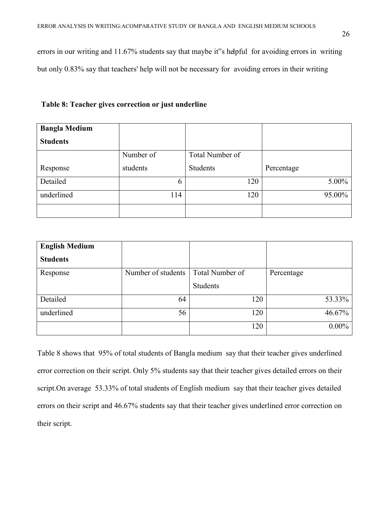errors in our writing and 11.67% students say that maybe it"s helpful for avoiding errors in writing but only 0.83% say that teachers' help will not be necessary for avoiding errors in their writing

| <b>Bangla Medium</b> |           |                 |            |
|----------------------|-----------|-----------------|------------|
| <b>Students</b>      |           |                 |            |
|                      | Number of | Total Number of |            |
| Response             | students  | Students        | Percentage |
| Detailed             | 6         | 120             | $5.00\%$   |
| underlined           | 114       | 120             | 95.00%     |
|                      |           |                 |            |

| <b>English Medium</b> |                    |                 |            |
|-----------------------|--------------------|-----------------|------------|
| <b>Students</b>       |                    |                 |            |
| Response              | Number of students | Total Number of | Percentage |
|                       |                    | Students        |            |
| Detailed              | 64                 | 120             | 53.33%     |
| underlined            | 56                 | 120             | 46.67%     |
|                       |                    | 120             | $0.00\%$   |

Table 8 shows that 95% of total students of Bangla medium say that their teacher gives underlined error correction on their script. Only 5% students say that their teacher gives detailed errors on their script.On average 53.33% of total students of English medium say that their teacher gives detailed errors on their script and 46.67% students say that their teacher gives underlined error correction on their script.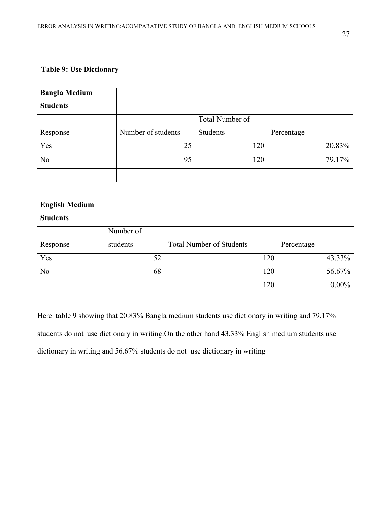## **Table 9: Use Dictionary**

| <b>Bangla Medium</b> |                    |                 |            |
|----------------------|--------------------|-----------------|------------|
| <b>Students</b>      |                    |                 |            |
|                      |                    | Total Number of |            |
| Response             | Number of students | Students        | Percentage |
| Yes                  | 25                 | 120             | 20.83%     |
| N <sub>o</sub>       | 95                 | 120             | 79.17%     |
|                      |                    |                 |            |

| <b>English Medium</b> |           |                                 |            |
|-----------------------|-----------|---------------------------------|------------|
| <b>Students</b>       |           |                                 |            |
|                       | Number of |                                 |            |
| Response              | students  | <b>Total Number of Students</b> | Percentage |
| Yes                   | 52        | 120                             | 43.33%     |
| N <sub>o</sub>        | 68        | 120                             | 56.67%     |
|                       |           | 120                             | $0.00\%$   |

Here table 9 showing that 20.83% Bangla medium students use dictionary in writing and 79.17% students do not use dictionary in writing.On the other hand 43.33% English medium students use dictionary in writing and 56.67% students do not use dictionary in writing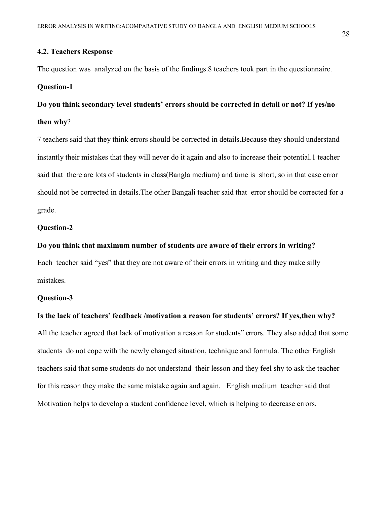#### **4.2. Teachers Response**

The question was analyzed on the basis of the findings.8 teachers took part in the questionnaire.

#### **Question-1**

**Do you think secondary level students' errors should be corrected in detail or not? If yes/no then why**?

7 teachers said that they think errors should be corrected in details.Because they should understand instantly their mistakes that they will never do it again and also to increase their potential.1 teacher said that there are lots of students in class(Bangla medium) and time is short, so in that case error should not be corrected in details.The other Bangali teacher said that error should be corrected for a grade.

#### **Question-2**

#### **Do you think that maximum number of students are aware of their errors in writing?**

Each teacher said "yes" that they are not aware of their errors in writing and they make silly mistakes.

#### **Question-3**

#### **Is the lack of teachers' feedback /motivation a reason for students' errors? If yes,then why?**

All the teacher agreed that lack of motivation a reason for students" errors. They also added that some students do not cope with the newly changed situation, technique and formula. The other English teachers said that some students do not understand their lesson and they feel shy to ask the teacher for this reason they make the same mistake again and again. English medium teacher said that Motivation helps to develop a student confidence level, which is helping to decrease errors.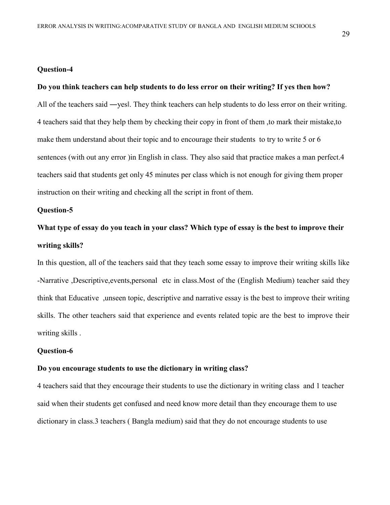#### **Question-4**

#### **Do you think teachers can help students to do less error on their writing? If yes then how?**

All of the teachers said —yes|. They think teachers can help students to do less error on their writing. 4 teachers said that they help them by checking their copy in front of them ,to mark their mistake,to make them understand about their topic and to encourage their students to try to write 5 or 6 sentences (with out any error )in English in class. They also said that practice makes a man perfect.4 teachers said that students get only 45 minutes per class which is not enough for giving them proper instruction on their writing and checking all the script in front of them.

#### **Question-5**

# **What type of essay do you teach in your class? Which type of essay is the best to improve their writing skills?**

In this question, all of the teachers said that they teach some essay to improve their writing skills like -Narrative ,Descriptive,events,personal etc in class.Most of the (English Medium) teacher said they think that Educative ,unseen topic, descriptive and narrative essay is the best to improve their writing skills. The other teachers said that experience and events related topic are the best to improve their writing skills .

#### **Question-6**

#### **Do you encourage students to use the dictionary in writing class?**

4 teachers said that they encourage their students to use the dictionary in writing class and 1 teacher said when their students get confused and need know more detail than they encourage them to use dictionary in class.3 teachers ( Bangla medium) said that they do not encourage students to use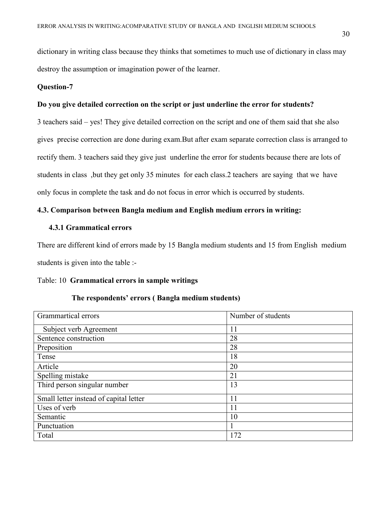dictionary in writing class because they thinks that sometimes to much use of dictionary in class may destroy the assumption or imagination power of the learner.

#### **Question-7**

#### **Do you give detailed correction on the script or just underline the error for students?**

3 teachers said – yes! They give detailed correction on the script and one of them said that she also gives precise correction are done during exam.But after exam separate correction class is arranged to rectify them. 3 teachers said they give just underline the error for students because there are lots of students in class ,but they get only 35 minutes for each class.2 teachers are saying that we have only focus in complete the task and do not focus in error which is occurred by students.

## **4.3. Comparison between Bangla medium and English medium errors in writing:**

#### **4.3.1 Grammatical errors**

There are different kind of errors made by 15 Bangla medium students and 15 from English medium students is given into the table :-

## Table: 10 **Grammatical errors in sample writings**

#### **The respondents' errors ( Bangla medium students)**

| Grammartical errors                    | Number of students |
|----------------------------------------|--------------------|
| Subject verb Agreement                 | 11                 |
| Sentence construction                  | 28                 |
| Preposition                            | 28                 |
| Tense                                  | 18                 |
| Article                                | 20                 |
| Spelling mistake                       | 21                 |
| Third person singular number           | 13                 |
| Small letter instead of capital letter | 11                 |
| Uses of verb                           | 11                 |
| Semantic                               | 10                 |
| Punctuation                            |                    |
| Total                                  | 172                |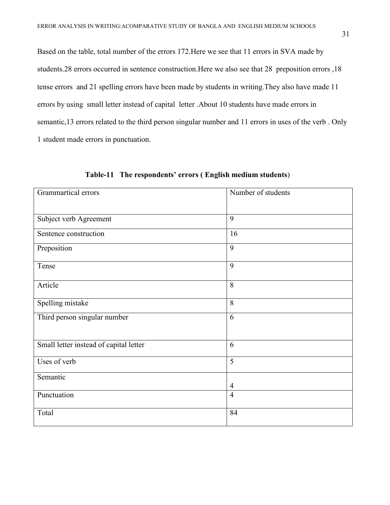Based on the table, total number of the errors 172.Here we see that 11 errors in SVA made by students.28 errors occurred in sentence construction.Here we also see that 28 preposition errors ,18 tense errors and 21 spelling errors have been made by students in writing.They also have made 11 errors by using small letter instead of capital letter .About 10 students have made errors in semantic,13 errors related to the third person singular number and 11 errors in uses of the verb . Only 1 student made errors in punctuation.

| Grammartical errors                    | Number of students |
|----------------------------------------|--------------------|
| Subject verb Agreement                 | 9                  |
| Sentence construction                  | 16                 |
| Preposition                            | 9                  |
| Tense                                  | 9                  |
| Article                                | 8                  |
| Spelling mistake                       | 8                  |
| Third person singular number           | 6                  |
| Small letter instead of capital letter | 6                  |
| Uses of verb                           | $\overline{5}$     |
| Semantic                               | $\overline{4}$     |
| Punctuation                            | $\overline{4}$     |
| Total                                  | 84                 |

 **Table-11 The respondents' errors ( English medium students**)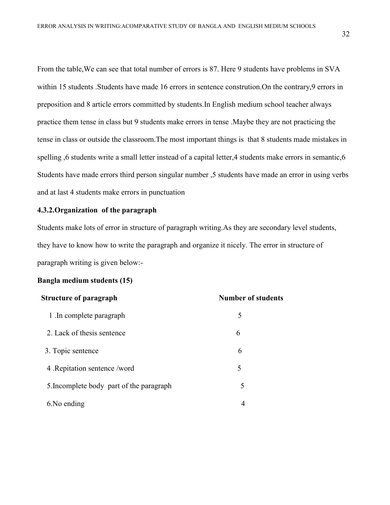From the table,We can see that total number of errors is 87. Here 9 students have problems in SVA within 15 students .Students have made 16 errors in sentence constrution. On the contrary, 9 errors in preposition and 8 article errors committed by students.In English medium school teacher always practice them tense in class but 9 students make errors in tense .Maybe they are not practicing the tense in class or outside the classroom.The most important things is that 8 students made mistakes in spelling ,6 students write a small letter instead of a capital letter,4 students make errors in semantic,6 Students have made errors third person singular number ,5 students have made an error in using verbs and at last 4 students make errors in punctuation

## **4.3.2.Organization of the paragraph**

Students make lots of error in structure of paragraph writing.As they are secondary level students, they have to know how to write the paragraph and organize it nicely. The error in structure of paragraph writing is given below:-

#### **Bangla medium students (15)**

| <b>Structure of paragraph</b>            | <b>Number of students</b> |
|------------------------------------------|---------------------------|
| 1. In complete paragraph                 | 5                         |
| 2. Lack of thesis sentence               | 6                         |
| 3. Topic sentence                        | 6                         |
| 4 . Repitation sentence /word            | 5                         |
| 5. Incomplete body part of the paragraph | 5                         |
| 6. No ending                             | 4                         |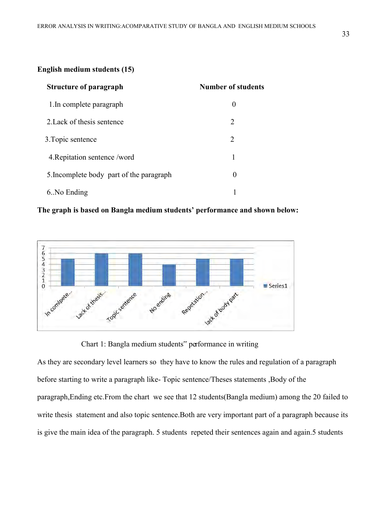#### **English medium students (15)**

| <b>Structure of paragraph</b>            | <b>Number of students</b>   |
|------------------------------------------|-----------------------------|
| 1. In complete paragraph                 | $\theta$                    |
| 2. Lack of thesis sentence               | $\mathcal{D}_{\mathcal{L}}$ |
| 3. Topic sentence                        | $\mathcal{D}_{\mathcal{L}}$ |
| 4. Repitation sentence /word             |                             |
| 5. Incomplete body part of the paragraph | $\left( \right)$            |
| 6. No Ending                             |                             |

## **The graph is based on Bangla medium students' performance and shown below:**



Chart 1: Bangla medium students" performance in writing

As they are secondary level learners so they have to know the rules and regulation of a paragraph before starting to write a paragraph like- Topic sentence/Theses statements ,Body of the paragraph,Ending etc.From the chart we see that 12 students(Bangla medium) among the 20 failed to write thesis statement and also topic sentence.Both are very important part of a paragraph because its is give the main idea of the paragraph. 5 students repeted their sentences again and again.5 students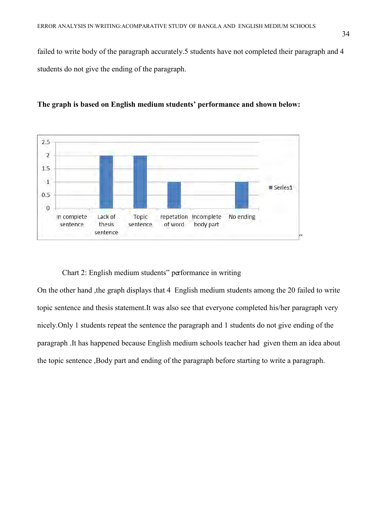failed to write body of the paragraph accurately.5 students have not completed their paragraph and 4 students do not give the ending of the paragraph.



**The graph is based on English medium students' performance and shown below:** 

#### Chart 2: English medium students" performance in writing

On the other hand ,the graph displays that 4 English medium students among the 20 failed to write topic sentence and thesis statement.It was also see that everyone completed his/her paragraph very nicely.Only 1 students repeat the sentence the paragraph and 1 students do not give ending of the paragraph .It has happened because English medium schools teacher had given them an idea about the topic sentence ,Body part and ending of the paragraph before starting to write a paragraph.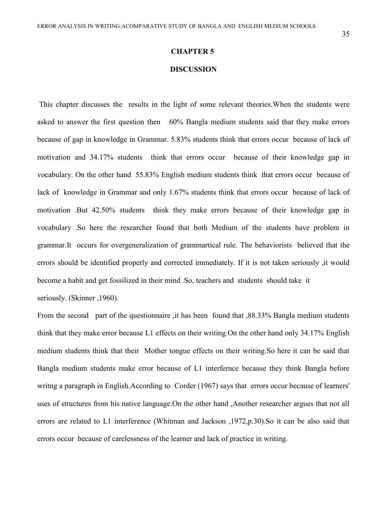#### **DISCUSSION**

This chapter discusses the results in the light of some relevant theories.When the students were asked to answer the first question then 60% Bangla medium students said that they make errors because of gap in knowledge in Grammar. 5.83% students think that errors occur because of lack of motivation and 34.17% students think that errors occur because of their knowledge gap in vocabulary. On the other hand 55.83% English medium students think that errors occur because of lack of knowledge in Grammar and only 1.67% students think that errors occur because of lack of motivation .But 42.50% students think they make errors because of their knowledge gap in vocabulary .So here the researcher found that both Medium of the students have problem in grammar.It occurs for overgeneralization of grammartical rule. The behaviorists believed that the errors should be identified properly and corrected immediately. If it is not taken seriously ,it would become a habit and get fossilized in their mind .So, teachers and students should take it seriously. (Skinner ,1960).

From the second part of the questionnaire , it has been found that , 88.33% Bangla medium students think that they make error because L1 effects on their writing.On the other hand only 34.17% English medium students think that their Mother tongue effects on their writing.So here it can be said that Bangla medium students make error because of L1 interfernce because they think Bangla before writng a paragraph in English.According to Corder (1967) says that errors occur because of learners' uses of structures from his native language.On the other hand ,Another researcher argues that not all errors are related to L1 interference (Whitman and Jackson ,1972,p.30).So it can be also said that errors occur because of carelessness of the learner and lack of practice in writing.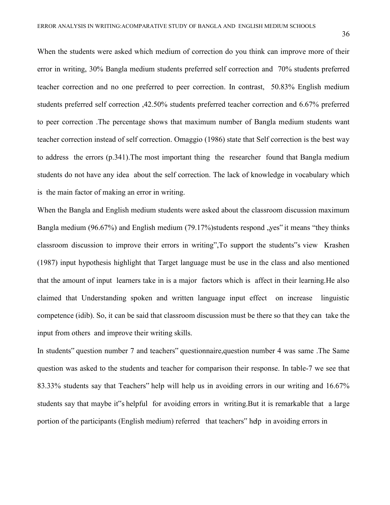When the students were asked which medium of correction do you think can improve more of their error in writing, 30% Bangla medium students preferred self correction and 70% students preferred teacher correction and no one preferred to peer correction. In contrast, 50.83% English medium students preferred self correction ,42.50% students preferred teacher correction and 6.67% preferred to peer correction .The percentage shows that maximum number of Bangla medium students want teacher correction instead of self correction. Omaggio (1986) state that Self correction is the best way to address the errors (p.341).The most important thing the researcher found that Bangla medium students do not have any idea about the self correction. The lack of knowledge in vocabulary which is the main factor of making an error in writing.

When the Bangla and English medium students were asked about the classroom discussion maximum Bangla medium  $(96.67%)$  and English medium  $(79.17%)$ students respond "yes" it means "they thinks classroom discussion to improve their errors in writing",To support the students"s view Krashen (1987) input hypothesis highlight that Target language must be use in the class and also mentioned that the amount of input learners take in is a major factors which is affect in their learning.He also claimed that Understanding spoken and written language input effect on increase linguistic competence (idib). So, it can be said that classroom discussion must be there so that they can take the input from others and improve their writing skills.

In students" question number 7 and teachers" questionnaire,question number 4 was same .The Same question was asked to the students and teacher for comparison their response. In table-7 we see that 83.33% students say that Teachers" help will help us in avoiding errors in our writing and 16.67% students say that maybe it"s helpful for avoiding errors in writing.But it is remarkable that a large portion of the participants (English medium) referred that teachers" help in avoiding errors in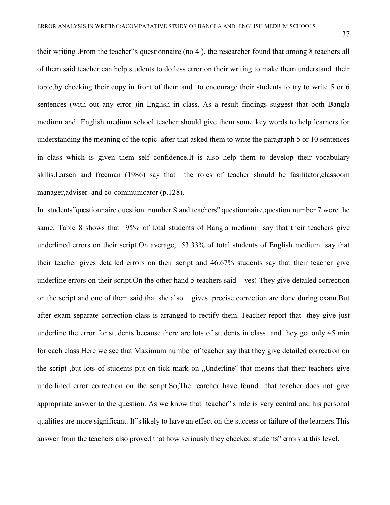their writing .From the teacher"s questionnaire (no 4 ), the researcher found that among 8 teachers all of them said teacher can help students to do less error on their writing to make them understand their topic,by checking their copy in front of them and to encourage their students to try to write 5 or 6 sentences (with out any error )in English in class. As a result findings suggest that both Bangla medium and English medium school teacher should give them some key words to help learners for understanding the meaning of the topic after that asked them to write the paragraph 5 or 10 sentences in class which is given them self confidence.It is also help them to develop their vocabulary skllis.Larsen and freeman (1986) say that the roles of teacher should be fasilitator,classoom manager, adviser and co-communicator (p.128).

In students"questionnaire question number 8 and teachers" questionnaire,question number 7 were the same. Table 8 shows that 95% of total students of Bangla medium say that their teachers give underlined errors on their script.On average, 53.33% of total students of English medium say that their teacher gives detailed errors on their script and 46.67% students say that their teacher give underline errors on their script.On the other hand 5 teachers said – yes! They give detailed correction on the script and one of them said that she also gives precise correction are done during exam.But after exam separate correction class is arranged to rectify them..Teacher report that they give just underline the error for students because there are lots of students in class and they get only 45 min for each class.Here we see that Maximum number of teacher say that they give detailed correction on the script ,but lots of students put on tick mark on "Underline" that means that their teachers give underlined error correction on the script.So,The rearcher have found that teacher does not give appropriate answer to the question. As we know that teacher" s role is very central and his personal qualities are more significant. It"s likely to have an effect on the success or failure of the learners.This answer from the teachers also proved that how seriously they checked students" errors at this level.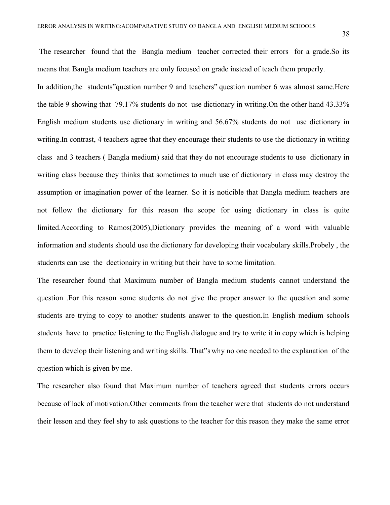The researcher found that the Bangla medium teacher corrected their errors for a grade.So its means that Bangla medium teachers are only focused on grade instead of teach them properly.

In addition,the students"question number 9 and teachers" question number 6 was almost same.Here the table 9 showing that 79.17% students do not use dictionary in writing.On the other hand 43.33% English medium students use dictionary in writing and 56.67% students do not use dictionary in writing.In contrast, 4 teachers agree that they encourage their students to use the dictionary in writing class and 3 teachers ( Bangla medium) said that they do not encourage students to use dictionary in writing class because they thinks that sometimes to much use of dictionary in class may destroy the assumption or imagination power of the learner. So it is noticible that Bangla medium teachers are not follow the dictionary for this reason the scope for using dictionary in class is quite limited.According to Ramos(2005),Dictionary provides the meaning of a word with valuable information and students should use the dictionary for developing their vocabulary skills.Probely , the studenrts can use the dectionairy in writing but their have to some limitation.

The researcher found that Maximum number of Bangla medium students cannot understand the question .For this reason some students do not give the proper answer to the question and some students are trying to copy to another students answer to the question.In English medium schools students have to practice listening to the English dialogue and try to write it in copy which is helping them to develop their listening and writing skills. That"s why no one needed to the explanation of the question which is given by me.

The researcher also found that Maximum number of teachers agreed that students errors occurs because of lack of motivation.Other comments from the teacher were that students do not understand their lesson and they feel shy to ask questions to the teacher for this reason they make the same error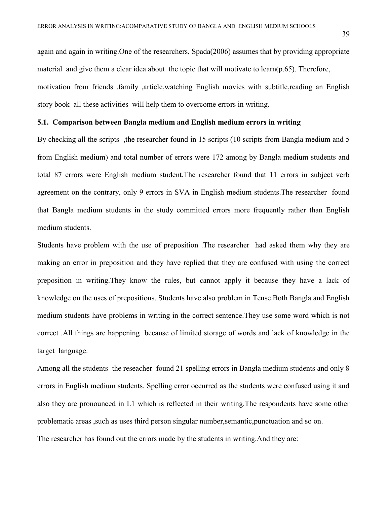again and again in writing.One of the researchers, Spada(2006) assumes that by providing appropriate material and give them a clear idea about the topic that will motivate to learn(p.65). Therefore, motivation from friends ,family ,article,watching English movies with subtitle,reading an English story book all these activities will help them to overcome errors in writing.

#### **5.1. Comparison between Bangla medium and English medium errors in writing**

By checking all the scripts, the researcher found in 15 scripts (10 scripts from Bangla medium and 5 from English medium) and total number of errors were 172 among by Bangla medium students and total 87 errors were English medium student.The researcher found that 11 errors in subject verb agreement on the contrary, only 9 errors in SVA in English medium students.The researcher found that Bangla medium students in the study committed errors more frequently rather than English medium students.

Students have problem with the use of preposition .The researcher had asked them why they are making an error in preposition and they have replied that they are confused with using the correct preposition in writing.They know the rules, but cannot apply it because they have a lack of knowledge on the uses of prepositions. Students have also problem in Tense.Both Bangla and English medium students have problems in writing in the correct sentence.They use some word which is not correct .All things are happening because of limited storage of words and lack of knowledge in the target language.

Among all the students the reseacher found 21 spelling errors in Bangla medium students and only 8 errors in English medium students. Spelling error occurred as the students were confused using it and also they are pronounced in L1 which is reflected in their writing.The respondents have some other problematic areas ,such as uses third person singular number,semantic,punctuation and so on.

The researcher has found out the errors made by the students in writing.And they are: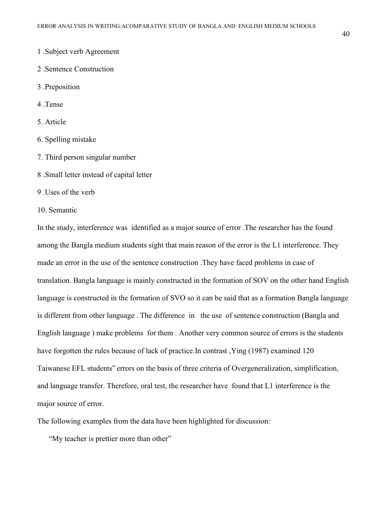- 1 .Subject verb Agreement
- 2 .Sentence Construction
- 3 .Preposition
- 4 .Tense
- 5. Article
- 6. Spelling mistake
- 7. Third person singular number
- 8 .Small letter instead of capital letter
- 9 .Uses of the verb
- 10. Semantic

In the study, interference was identified as a major source of error .The researcher has the found among the Bangla medium students sight that main reason of the error is the L1 interference. They made an error in the use of the sentence construction .They have faced problems in case of translation. Bangla language is mainly constructed in the formation of SOV on the other hand English language is constructed in the formation of SVO so it can be said that as a formation Bangla language is different from other language . The difference in the use of sentence construction (Bangla and English language ) make problems for them . Another very common source of errors is the students have forgotten the rules because of lack of practice.In contrast ,Ying (1987) examined 120 Taiwanese EFL students" errors on the basis of three criteria of Overgeneralization, simplification, and language transfer. Therefore, oral test, the researcher have found that L1 interference is the major source of error.

The following examples from the data have been highlighted for discussion:

"My teacher is prettier more than other"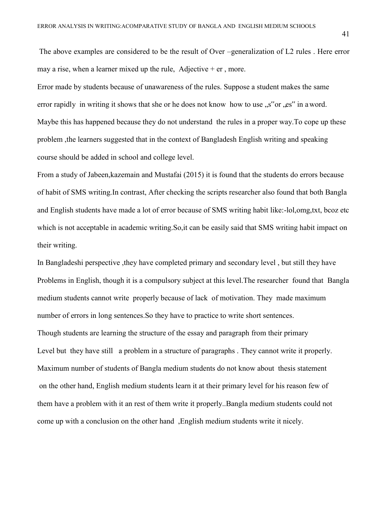The above examples are considered to be the result of Over –generalization of L2 rules . Here error may a rise, when a learner mixed up the rule, Adjective  $+$  er, more.

Error made by students because of unawareness of the rules. Suppose a student makes the same error rapidly in writing it shows that she or he does not know how to use "s" or "es" in a word. Maybe this has happened because they do not understand the rules in a proper way.To cope up these problem ,the learners suggested that in the context of Bangladesh English writing and speaking course should be added in school and college level.

From a study of Jabeen,kazemain and Mustafai (2015) it is found that the students do errors because of habit of SMS writing.In contrast, After checking the scripts researcher also found that both Bangla and English students have made a lot of error because of SMS writing habit like:-lol,omg,txt, bcoz etc which is not acceptable in academic writing.So,it can be easily said that SMS writing habit impact on their writing.

In Bangladeshi perspective ,they have completed primary and secondary level , but still they have Problems in English, though it is a compulsory subject at this level.The researcher found that Bangla medium students cannot write properly because of lack of motivation. They made maximum number of errors in long sentences.So they have to practice to write short sentences. Though students are learning the structure of the essay and paragraph from their primary Level but they have still a problem in a structure of paragraphs . They cannot write it properly. Maximum number of students of Bangla medium students do not know about thesis statement on the other hand, English medium students learn it at their primary level for his reason few of them have a problem with it an rest of them write it properly..Bangla medium students could not come up with a conclusion on the other hand ,English medium students write it nicely.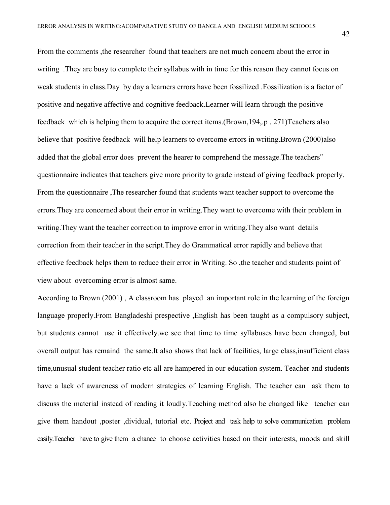From the comments ,the researcher found that teachers are not much concern about the error in writing .They are busy to complete their syllabus with in time for this reason they cannot focus on weak students in class.Day by day a learners errors have been fossilized .Fossilization is a factor of positive and negative affective and cognitive feedback.Learner will learn through the positive feedback which is helping them to acquire the correct items.(Brown,194,.p . 271)Teachers also believe that positive feedback will help learners to overcome errors in writing. Brown (2000)also added that the global error does prevent the hearer to comprehend the message.The teachers" questionnaire indicates that teachers give more priority to grade instead of giving feedback properly. From the questionnaire ,The researcher found that students want teacher support to overcome the errors.They are concerned about their error in writing.They want to overcome with their problem in writing.They want the teacher correction to improve error in writing.They also want details correction from their teacher in the script.They do Grammatical error rapidly and believe that effective feedback helps them to reduce their error in Writing. So ,the teacher and students point of view about overcoming error is almost same.

According to Brown (2001) , A classroom has played an important role in the learning of the foreign language properly.From Bangladeshi prespective ,English has been taught as a compulsory subject, but students cannot use it effectively.we see that time to time syllabuses have been changed, but overall output has remaind the same.It also shows that lack of facilities, large class,insufficient class time,unusual student teacher ratio etc all are hampered in our education system. Teacher and students have a lack of awareness of modern strategies of learning English. The teacher can ask them to discuss the material instead of reading it loudly.Teaching method also be changed like –teacher can give them handout ,poster ,dividual, tutorial etc. Project and task help to solve communication problem easily.Teacher have to give them a chance to choose activities based on their interests, moods and skill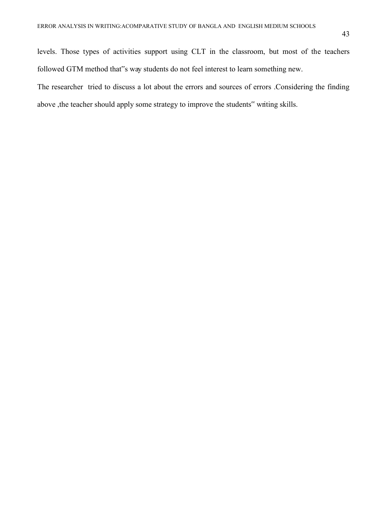levels. Those types of activities support using CLT in the classroom, but most of the teachers followed GTM method that"s way students do not feel interest to learn something new.

The researcher tried to discuss a lot about the errors and sources of errors .Considering the finding above , the teacher should apply some strategy to improve the students" writing skills.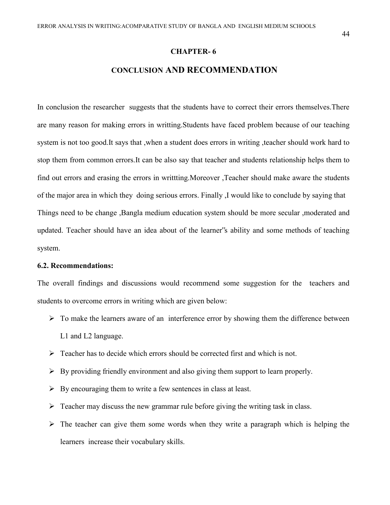#### **CHAPTER- 6**

## **CONCLUSION AND RECOMMENDATION**

In conclusion the researcher suggests that the students have to correct their errors themselves.There are many reason for making errors in writting.Students have faced problem because of our teaching system is not too good.It says that ,when a student does errors in writing ,teacher should work hard to stop them from common errors.It can be also say that teacher and students relationship helps them to find out errors and erasing the errors in writtting.Moreover ,Teacher should make aware the students of the major area in which they doing serious errors. Finally ,I would like to conclude by saying that Things need to be change ,Bangla medium education system should be more secular ,moderated and updated. Teacher should have an idea about of the learner"s ability and some methods of teaching system.

#### **6.2. Recommendations:**

The overall findings and discussions would recommend some suggestion for the teachers and students to overcome errors in writing which are given below:

- $\triangleright$  To make the learners aware of an interference error by showing them the difference between L1 and L2 language.
- $\triangleright$  Teacher has to decide which errors should be corrected first and which is not.
- $\triangleright$  By providing friendly environment and also giving them support to learn properly.
- $\triangleright$  By encouraging them to write a few sentences in class at least.
- $\triangleright$  Teacher may discuss the new grammar rule before giving the writing task in class.
- $\triangleright$  The teacher can give them some words when they write a paragraph which is helping the learners increase their vocabulary skills.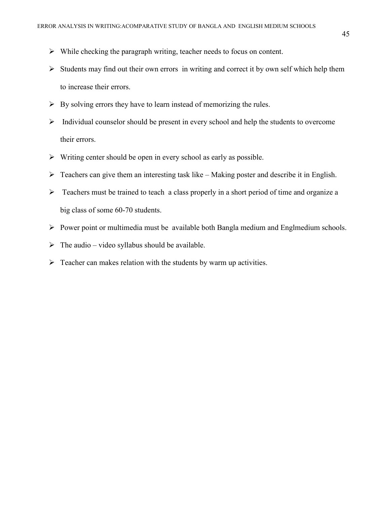- $\triangleright$  While checking the paragraph writing, teacher needs to focus on content.
- $\triangleright$  Students may find out their own errors in writing and correct it by own self which help them to increase their errors.
- $\triangleright$  By solving errors they have to learn instead of memorizing the rules.
- $\triangleright$  Individual counselor should be present in every school and help the students to overcome their errors.
- $\triangleright$  Writing center should be open in every school as early as possible.
- $\triangleright$  Teachers can give them an interesting task like Making poster and describe it in English.
- $\triangleright$  Teachers must be trained to teach a class properly in a short period of time and organize a big class of some 60-70 students.
- $\triangleright$  Power point or multimedia must be available both Bangla medium and Englmedium schools.
- $\triangleright$  The audio video syllabus should be available.
- $\triangleright$  Teacher can makes relation with the students by warm up activities.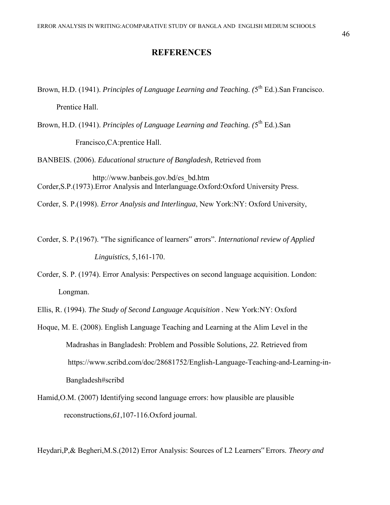## **REFERENCES**

Brown, H.D. (1941). *Principles of Language Learning and Teaching.* (5<sup>th</sup> Ed.).San Francisco.

Prentice Hall.

Brown, H.D. (1941). *Principles of Language Learning and Teaching.* (5<sup>th</sup> Ed.).San

Francisco,CA:prentice Hall.

BANBEIS. (2006). *Educational structure of Bangladesh,* Retrieved from

 http://www.banbeis.gov.bd/es\_bd.htm Corder,S.P.(1973).Error Analysis and Interlanguage.Oxford:Oxford University Press.

Corder, S. P.(1998). *Error Analysis and Interlingua*, New York:NY: Oxford University,

Corder, S. P.(1967). "The significance of learners" errors". *International review of Applied Linguistics*, 5,161-170.

Corder, S. P. (1974). Error Analysis: Perspectives on second language acquisition. London: Longman.

Ellis, R. (1994). *The Study of Second Language Acquisition .* New York:NY: Oxford

Hoque, M. E. (2008). English Language Teaching and Learning at the Alim Level in the Madrashas in Bangladesh: Problem and Possible Solutions, *22.* Retrieved from https://www.scribd.com/doc/28681752/English-Language-Teaching-and-Learning-in- Bangladesh#scribd

Hamid,O.M. (2007) Identifying second language errors: how plausible are plausible reconstructions,*61*,107-116.Oxford journal.

Heydari,P,& Begheri,M.S.(2012) Error Analysis: Sources of L2 Learners" Errors. *Theory and*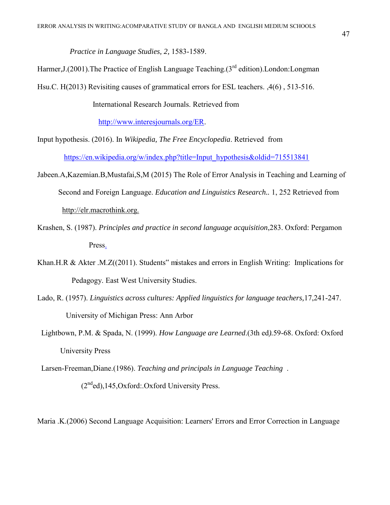*Practice in Language Studies, 2,* 1583-1589.

Harmer, J. (2001). The Practice of English Language Teaching.  $3^{rd}$  edition). London: Longman

Hsu.C. H(2013) Revisiting causes of grammatical errors for ESL teachers. ,4(6) , 513-516.

International Research Journals. Retrieved from

[http://www.interesjournals.org/ER.](http://www.interesjournals.org/ER)

Input hypothesis. (2016). In *Wikipedia, The Free Encyclopedia*. Retrieved from [https://en.wikipedia.org/w/index.php?title=Input\\_hypothesis&oldid=715513841](https://en.wikipedia.org/w/index.php?title=Input_hypothesis&oldid=715513841)

- Jabeen.A,Kazemian.B,Mustafai,S,M (2015) The Role of Error Analysis in Teaching and Learning of Second and Foreign Language. *Education and Linguistics Research..* 1, 252 Retrieved from http://elr.macrothink.org.
- Krashen, S. (1987). *Principles and practice in second language acquisition*,283. Oxford: Pergamon Press.
- Khan.H.R & Akter .M.Z((2011). Students" mistakes and errors in English Writing: Implications for Pedagogy. East West University Studies.
- Lado, R. (1957). *Linguistics across cultures: Applied linguistics for language teachers,*17,241-247. University of Michigan Press: Ann Arbor
- Lightbown, P.M. & Spada, N. (1999). *How Language are Learned*.(3th ed*).*59-68. Oxford: Oxford University Press

Larsen-Freeman,Diane.(1986). *Teaching and principals in Language Teaching* .

 $(2<sup>nd</sup>ed)$ ,145,Oxford:.Oxford University Press.

Maria .K.(2006) Second Language Acquisition: Learners' Errors and Error Correction in Language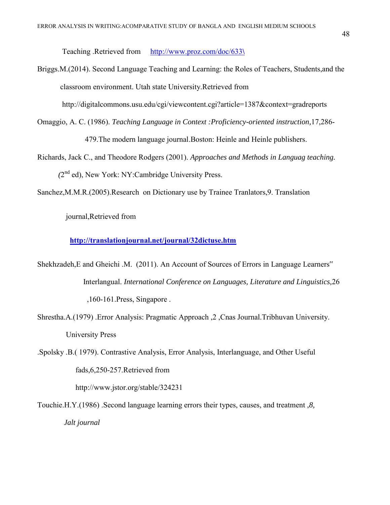Teaching .Retrieved from [http://www.proz.com/doc/633](http://www.proz.com/doc/633/)**\**

Briggs.M.(2014). Second Language Teaching and Learning: the Roles of Teachers, Students,and the classroom environment. Utah state University.Retrieved from

http://digitalcommons.usu.edu/cgi/viewcontent.cgi?article=1387&context=gradreports

- Omaggio, A. C. (1986). *Teaching Language in Context :Proficiency-oriented instruction,*17,286- 479.The modern language journal.Boston: Heinle and Heinle publishers.
- Richards, Jack C., and Theodore Rodgers (2001). *Approaches and Methods in Languag teaching.*  (2<sup>nd</sup> ed), New York: NY:Cambridge University Press.
- Sanchez,M.M.R.(2005).Research on Dictionary use by Trainee Tranlators,9. Translation

journal,Retrieved from

**<http://translationjournal.net/journal/32dictuse.htm>**

- Shekhzadeh,E and Gheichi .M. (2011). An Account of Sources of Errors in Language Learners" Interlangual. *International Conference on Languages, Literature and Linguistics,*26 ,160-161.Press, Singapore .
- Shrestha.A.(1979) .Error Analysis: Pragmatic Approach ,2 ,Cnas Journal.Tribhuvan University. University Press
- .Spolsky .B.( 1979). Contrastive Analysis, Error Analysis, Interlanguage, and Other Useful fads,6,250-257.Retrieved from http://www.jstor.org/stable/324231

Touchie.H.Y.(1986) .Second language learning errors their types, causes, and treatment ,*8, Jalt journal*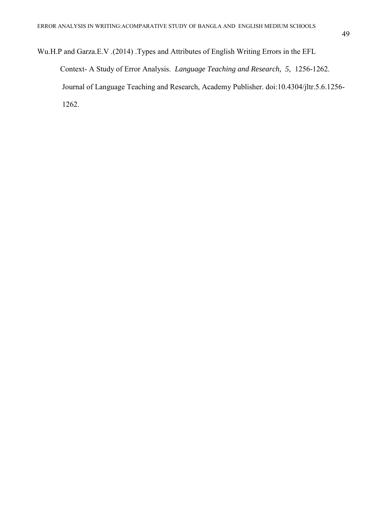Wu.H.P and Garza.E.V .(2014) .Types and Attributes of English Writing Errors in the EFL Context- A Study of Error Analysis. *Language Teaching and Research, 5,* 1256-1262. Journal of Language Teaching and Research, Academy Publisher. doi:10.4304/jltr.5.6.1256- 1262.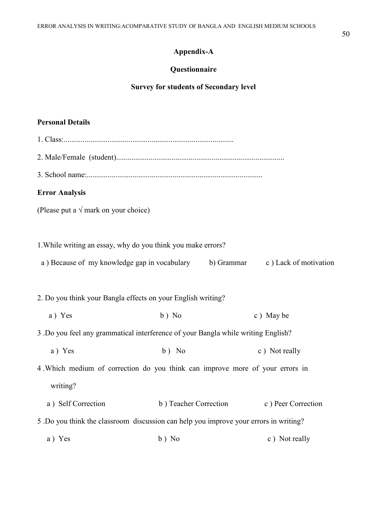## **Appendix-A**

## **Questionnaire**

## **Survey for students of Secondary level**

## **Personal Details**

| <b>Error Analysis</b>                                                            |                                                                                       |                                          |  |  |  |  |  |  |
|----------------------------------------------------------------------------------|---------------------------------------------------------------------------------------|------------------------------------------|--|--|--|--|--|--|
| (Please put a $\sqrt{m}$ mark on your choice)                                    |                                                                                       |                                          |  |  |  |  |  |  |
|                                                                                  |                                                                                       |                                          |  |  |  |  |  |  |
| 1. While writing an essay, why do you think you make errors?                     |                                                                                       |                                          |  |  |  |  |  |  |
| a) Because of my knowledge gap in vocabulary<br>b) Grammar c) Lack of motivation |                                                                                       |                                          |  |  |  |  |  |  |
|                                                                                  |                                                                                       |                                          |  |  |  |  |  |  |
| 2. Do you think your Bangla effects on your English writing?                     |                                                                                       |                                          |  |  |  |  |  |  |
| a) Yes                                                                           | $b)$ No                                                                               | c) May be                                |  |  |  |  |  |  |
|                                                                                  | 3. Do you feel any grammatical interference of your Bangla while writing English?     |                                          |  |  |  |  |  |  |
| a) Yes                                                                           | $b)$ No                                                                               | c) Not really                            |  |  |  |  |  |  |
|                                                                                  | 4. Which medium of correction do you think can improve more of your errors in         |                                          |  |  |  |  |  |  |
| writing?                                                                         |                                                                                       |                                          |  |  |  |  |  |  |
| a) Self Correction                                                               |                                                                                       | b) Teacher Correction c) Peer Correction |  |  |  |  |  |  |
|                                                                                  | 5 .Do you think the classroom discussion can help you improve your errors in writing? |                                          |  |  |  |  |  |  |
| a) Yes                                                                           | $b)$ No                                                                               | c) Not really                            |  |  |  |  |  |  |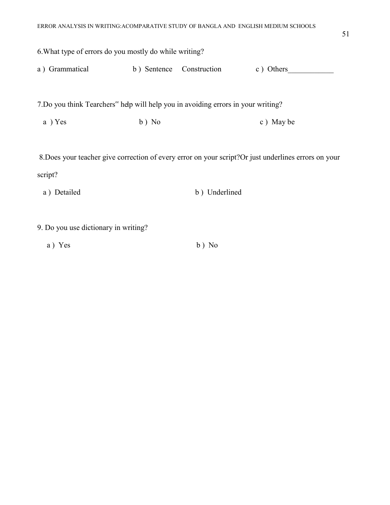| 6. What type of errors do you mostly do while writing?                            |             |               |                                                                                                       |
|-----------------------------------------------------------------------------------|-------------|---------------|-------------------------------------------------------------------------------------------------------|
| a) Grammatical                                                                    | b) Sentence | Construction  | c) Others                                                                                             |
| 7. Do you think Tearchers" help will help you in avoiding errors in your writing? |             |               |                                                                                                       |
| a ) Yes                                                                           | $b)$ No     |               | c) May be                                                                                             |
|                                                                                   |             |               | 8. Does your teacher give correction of every error on your script? Or just underlines errors on your |
| script?                                                                           |             |               |                                                                                                       |
| a) Detailed                                                                       |             | b) Underlined |                                                                                                       |

- 9. Do you use dictionary in writing?
	- a ) Yes b ) No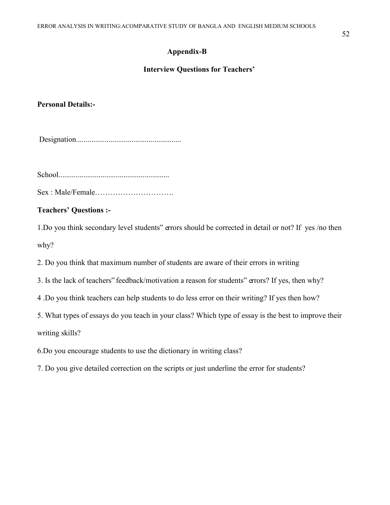## **Appendix-B**

## **Interview Questions for Teachers'**

## **Personal Details:-**

Designation.......................................................

School..........................................................

Sex : Male/Female………………………….

## **Teachers' Questions :-**

1.Do you think secondary level students" errors should be corrected in detail or not? If yes /no then why?

2. Do you think that maximum number of students are aware of their errors in writing

- 3. Is the lack of teachers" feedback/motivation a reason for students" errors? If yes, then why?
- 4 .Do you think teachers can help students to do less error on their writing? If yes then how?
- 5. What types of essays do you teach in your class? Which type of essay is the best to improve their

writing skills?

- 6.Do you encourage students to use the dictionary in writing class?
- 7. Do you give detailed correction on the scripts or just underline the error for students?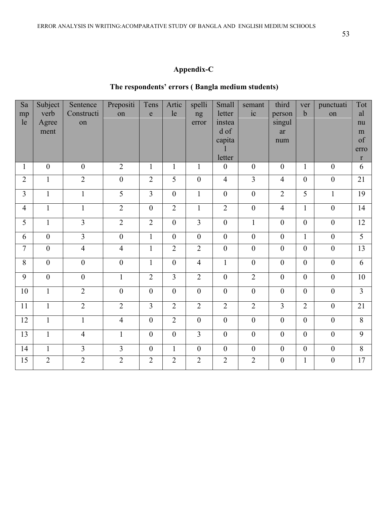## **The respondents' errors ( Bangla medium students)**

| Sa             | Subject        | Sentence         | Prepositi        | Tens             | Artic            | spelli           | Small            | semant           | third            | ver              | punctuati      | Tot             |
|----------------|----------------|------------------|------------------|------------------|------------------|------------------|------------------|------------------|------------------|------------------|----------------|-----------------|
| mp             | verb           | Constructi       | on               | ${\bf e}$        | le               | ng               | letter           | ic               | person           | $\mathbf b$      | on             | al              |
| le             | Agree          | on               |                  |                  |                  | error            | instea           |                  | singul           |                  |                | nu              |
|                | ment           |                  |                  |                  |                  |                  | d of             |                  | ar               |                  |                | m               |
|                |                |                  |                  |                  |                  |                  | capita           |                  | num              |                  |                | of              |
|                |                |                  |                  |                  |                  |                  |                  |                  |                  |                  |                | erro            |
|                |                |                  |                  |                  |                  |                  | letter           |                  |                  |                  |                | $\mathbf{r}$    |
| $\mathbf{1}$   | $\mathbf{0}$   | $\boldsymbol{0}$ | $\overline{2}$   | $\mathbf{1}$     | $\mathbf{1}$     | $\mathbf{1}$     | $\boldsymbol{0}$ | $\boldsymbol{0}$ | $\boldsymbol{0}$ | $\mathbf{1}$     | $\mathbf{0}$   | 6               |
| $\overline{2}$ | $\mathbf{1}$   | $\overline{2}$   | $\overline{0}$   | $\overline{2}$   | $\overline{5}$   | $\overline{0}$   | $\overline{4}$   | $\overline{3}$   | $\overline{4}$   | $\overline{0}$   | $\mathbf{0}$   | $\overline{21}$ |
| $\overline{3}$ | $\mathbf{1}$   | $\mathbf{1}$     | $\overline{5}$   | $\overline{3}$   | $\overline{0}$   | $\mathbf{1}$     | $\overline{0}$   | $\overline{0}$   | $\overline{2}$   | $\overline{5}$   | $\mathbf{1}$   | $\overline{19}$ |
| $\overline{4}$ | $\mathbf{1}$   | $\mathbf{1}$     | $\overline{2}$   | $\overline{0}$   | $\overline{2}$   | $\mathbf{1}$     | $\overline{2}$   | $\overline{0}$   | $\overline{4}$   | $\mathbf{1}$     | $\overline{0}$ | $\overline{14}$ |
| 5              | $\mathbf{1}$   | $\overline{3}$   | $\overline{2}$   | $\overline{2}$   | $\overline{0}$   | $\overline{3}$   | $\overline{0}$   | $\mathbf{1}$     | $\boldsymbol{0}$ | $\overline{0}$   | $\mathbf{0}$   | 12              |
| 6              | $\mathbf{0}$   | $\overline{3}$   | $\boldsymbol{0}$ | $\mathbf{1}$     | $\boldsymbol{0}$ | $\boldsymbol{0}$ | $\overline{0}$   | $\boldsymbol{0}$ | $\boldsymbol{0}$ | $\mathbf{1}$     | $\mathbf{0}$   | $\overline{5}$  |
| $\overline{7}$ | $\mathbf{0}$   | $\overline{4}$   | $\overline{4}$   | $\mathbf{1}$     | $\overline{2}$   | $\overline{2}$   | $\boldsymbol{0}$ | $\boldsymbol{0}$ | $\mathbf{0}$     | $\overline{0}$   | $\overline{0}$ | 13              |
| 8              | $\mathbf{0}$   | $\boldsymbol{0}$ | $\mathbf{0}$     | $\mathbf{1}$     | $\overline{0}$   | $\overline{4}$   | $\mathbf{1}$     | $\overline{0}$   | $\mathbf{0}$     | $\overline{0}$   | $\overline{0}$ | 6               |
| 9              | $\overline{0}$ | $\overline{0}$   | $\mathbf{1}$     | $\overline{2}$   | $\overline{3}$   | $\overline{2}$   | $\overline{0}$   | $\overline{2}$   | $\overline{0}$   | $\overline{0}$   | $\overline{0}$ | 10              |
| 10             | $\mathbf{1}$   | $\overline{2}$   | $\overline{0}$   | $\overline{0}$   | $\overline{0}$   | $\overline{0}$   | $\overline{0}$   | $\overline{0}$   | $\overline{0}$   | $\overline{0}$   | $\overline{0}$ | $\overline{3}$  |
| 11             | $\mathbf{1}$   | $\overline{2}$   | $\overline{2}$   | $\overline{3}$   | $\overline{2}$   | $\overline{2}$   | $\overline{2}$   | $\overline{2}$   | $\overline{3}$   | $\overline{2}$   | $\overline{0}$ | $\overline{21}$ |
| 12             | $\mathbf{1}$   | $\overline{1}$   | $\overline{4}$   | $\boldsymbol{0}$ | $\overline{2}$   | $\overline{0}$   | $\overline{0}$   | $\mathbf{0}$     | $\overline{0}$   | $\overline{0}$   | $\overline{0}$ | $\overline{8}$  |
| 13             | $\mathbf{1}$   | $\overline{4}$   | $\mathbf{1}$     | $\boldsymbol{0}$ | $\boldsymbol{0}$ | $\overline{3}$   | $\boldsymbol{0}$ | $\boldsymbol{0}$ | $\overline{0}$   | $\overline{0}$   | $\mathbf{0}$   | 9               |
| 14             | $\mathbf{1}$   | $\overline{3}$   | $\overline{3}$   | $\boldsymbol{0}$ | $\mathbf{1}$     | $\boldsymbol{0}$ | $\boldsymbol{0}$ | $\boldsymbol{0}$ | $\overline{0}$   | $\boldsymbol{0}$ | $\mathbf{0}$   | 8               |
| 15             | $\overline{2}$ | $\overline{2}$   | $\overline{2}$   | $\overline{2}$   | $\overline{2}$   | $\overline{2}$   | $\overline{2}$   | $\overline{2}$   | $\boldsymbol{0}$ | $\mathbf{1}$     | $\mathbf{0}$   | 17              |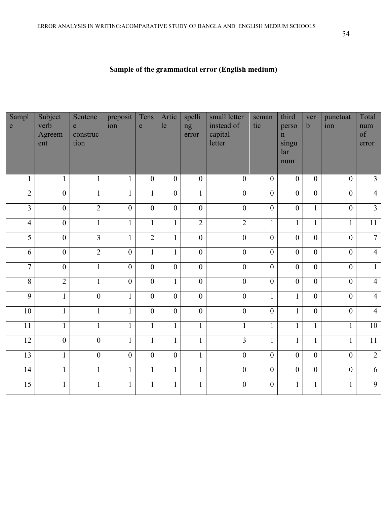| Sampl<br>e      | Subject<br>verb<br>Agreem<br>ent | Sentenc<br>$\mathbf{e}$<br>construc<br>tion | preposit<br>ion  | Tens<br>$\mathbf e$ | Artic<br>le      | spelli<br>ng<br>error | small letter<br>instead of<br>capital<br>letter | seman<br>tic   | third<br>perso<br>$\mathbf n$<br>singu<br>lar<br>num | ver<br>$\mathbf b$ | punctuat<br>ion | Total<br>num<br>of<br>error |
|-----------------|----------------------------------|---------------------------------------------|------------------|---------------------|------------------|-----------------------|-------------------------------------------------|----------------|------------------------------------------------------|--------------------|-----------------|-----------------------------|
| $\mathbf{1}$    | $\mathbf{1}$                     | $\mathbf{1}$                                | $\mathbf{1}$     | $\overline{0}$      | $\boldsymbol{0}$ | $\boldsymbol{0}$      | $\boldsymbol{0}$                                | $\mathbf{0}$   | $\mathbf{0}$                                         | $\overline{0}$     | $\overline{0}$  | $\mathfrak{Z}$              |
| $\overline{2}$  | $\overline{0}$                   | $\mathbf{1}$                                | $\mathbf{1}$     | $\mathbf{1}$        | $\overline{0}$   | $\mathbf{1}$          | $\mathbf{0}$                                    | $\overline{0}$ | $\overline{0}$                                       | $\overline{0}$     | $\overline{0}$  | $\overline{4}$              |
| $\overline{3}$  | $\boldsymbol{0}$                 | $\overline{2}$                              | $\overline{0}$   | $\mathbf{0}$        | $\boldsymbol{0}$ | $\overline{0}$        | $\mathbf{0}$                                    | $\overline{0}$ | $\boldsymbol{0}$                                     | $\mathbf{1}$       | $\overline{0}$  | $\overline{3}$              |
| $\overline{4}$  | $\mathbf{0}$                     | $\mathbf{1}$                                | $\mathbf{1}$     | $\mathbf{1}$        | $\mathbf{1}$     | $\overline{2}$        | $\overline{2}$                                  | $\mathbf{1}$   | $\mathbf{1}$                                         | $\mathbf{1}$       | $\mathbf{1}$    | $\overline{11}$             |
| $\overline{5}$  | $\boldsymbol{0}$                 | $\overline{3}$                              | $\mathbf{1}$     | $\overline{2}$      | $\mathbf{1}$     | $\boldsymbol{0}$      | $\overline{0}$                                  | $\overline{0}$ | $\boldsymbol{0}$                                     | $\overline{0}$     | $\overline{0}$  | $\overline{7}$              |
| 6               | $\boldsymbol{0}$                 | $\overline{2}$                              | $\boldsymbol{0}$ | $\mathbf{1}$        | $\mathbf{1}$     | $\overline{0}$        | $\boldsymbol{0}$                                | $\overline{0}$ | $\boldsymbol{0}$                                     | $\overline{0}$     | $\overline{0}$  | $\overline{4}$              |
| $\overline{7}$  | $\mathbf{0}$                     | $\mathbf{1}$                                | $\boldsymbol{0}$ | $\mathbf{0}$        | $\overline{0}$   | $\mathbf{0}$          | $\overline{0}$                                  | $\overline{0}$ | $\boldsymbol{0}$                                     | $\overline{0}$     | $\overline{0}$  | $\mathbf{1}$                |
| $\overline{8}$  | $\overline{2}$                   | $\mathbf{1}$                                | $\boldsymbol{0}$ | $\overline{0}$      | $\mathbf{1}$     | $\overline{0}$        | $\overline{0}$                                  | $\overline{0}$ | $\mathbf{0}$                                         | $\overline{0}$     | $\overline{0}$  | $\overline{4}$              |
| $\overline{9}$  | $\mathbf{1}$                     | $\boldsymbol{0}$                            | $\mathbf{1}$     | $\overline{0}$      | $\overline{0}$   | $\overline{0}$        | $\overline{0}$                                  | $\mathbf{1}$   | $\mathbf{1}$                                         | $\overline{0}$     | $\overline{0}$  | $\overline{4}$              |
| $\overline{10}$ | $\mathbf{1}$                     | $\overline{1}$                              | $\overline{1}$   | $\overline{0}$      | $\overline{0}$   | $\overline{0}$        | $\overline{0}$                                  | $\overline{0}$ | $\overline{1}$                                       | $\overline{0}$     | $\overline{0}$  | $\overline{4}$              |
| 11              | $\mathbf{1}$                     | $\mathbf{1}$                                | $\mathbf{1}$     | $\mathbf{1}$        | $\mathbf{1}$     | $\mathbf{1}$          | $\mathbf{1}$                                    | $\mathbf{1}$   | $\mathbf{1}$                                         | $\mathbf{1}$       | $\mathbf{1}$    | 10                          |
| $\overline{12}$ | $\overline{0}$                   | $\overline{0}$                              | $\mathbf{1}$     | $\mathbf{1}$        | $\mathbf{1}$     | $\mathbf{1}$          | $\overline{3}$                                  | $\mathbf{1}$   | $\mathbf{1}$                                         | $\mathbf{1}$       | $\overline{1}$  | $\overline{11}$             |
| 13              | $\mathbf{1}$                     | $\overline{0}$                              | $\boldsymbol{0}$ | $\mathbf{0}$        | $\boldsymbol{0}$ | $\mathbf{1}$          | $\mathbf{0}$                                    | $\overline{0}$ | $\mathbf{0}$                                         | $\mathbf{0}$       | $\overline{0}$  | $\overline{2}$              |
| 14              | $\mathbf{1}$                     | $\mathbf{1}$                                | $\mathbf{1}$     | $\mathbf{1}$        | $\mathbf{1}$     | $\mathbf{1}$          | $\mathbf{0}$                                    | $\overline{0}$ | $\mathbf{0}$                                         | $\boldsymbol{0}$   | $\overline{0}$  | $\overline{6}$              |
| 15              |                                  | $\mathbf{1}$                                | $\mathbf{1}$     | $\mathbf{1}$        | $\mathbf{1}$     | $\mathbf{1}$          | $\boldsymbol{0}$                                | $\overline{0}$ | $\mathbf{1}$                                         | $\mathbf{1}$       | $\mathbf{1}$    | 9                           |

# **Sample of the grammatical error (English medium)**